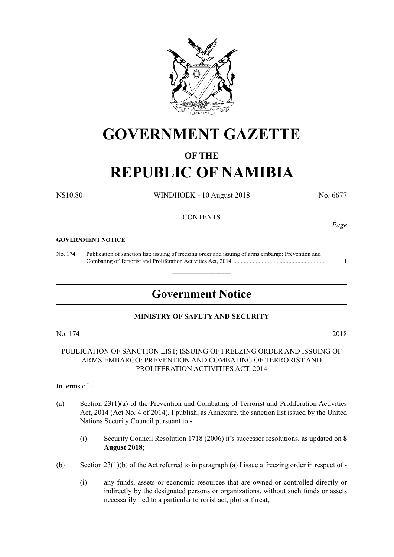

## **GOVERNMENT GAZETTE**

## **OF THE**

# **REPUBLIC OF NAMIBIA**

N\$10.80 WINDHOEK - 10 August 2018 No. 6677

## **CONTENTS**

## **GOVERNMENT NOTICE**

No. 174 Publication of sanction list; issuing of freezing order and issuing of arms embargo: Prevention and Combating of Terrorist and Proliferation Activities Act, 2014 .............................................................. 1

## **Government Notice**

 $\overline{\phantom{a}}$  , where  $\overline{\phantom{a}}$ 

## **MINISTRY OF SAFETY AND SECURITY**

No. 174 2018

PUBLICATION OF SANCTION LIST; ISSUING OF FREEZING ORDER AND ISSUING OF ARMS EMBARGO: PREVENTION AND COMBATING OF TERRORIST AND PROLIFERATION ACTIVITIES ACT, 2014

In terms of –

- (a) Section 23(1)(a) of the Prevention and Combating of Terrorist and Proliferation Activities Act, 2014 (Act No. 4 of 2014), I publish, as Annexure, the sanction list issued by the United Nations Security Council pursuant to -
	- (i) Security Council Resolution 1718 (2006) it's successor resolutions, as updated on **8 August 2018;**
- (b) Section 23(1)(b) of the Act referred to in paragraph (a) I issue a freezing order in respect of
	- (i) any funds, assets or economic resources that are owned or controlled directly or indirectly by the designated persons or organizations, without such funds or assets necessarily tied to a particular terrorist act, plot or threat;

*Page*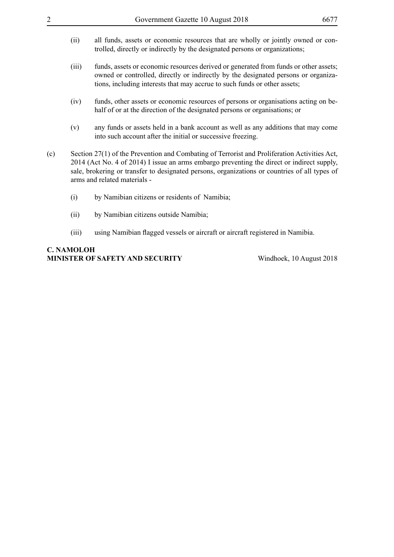- (ii) all funds, assets or economic resources that are wholly or jointly owned or controlled, directly or indirectly by the designated persons or organizations;
- (iii) funds, assets or economic resources derived or generated from funds or other assets; owned or controlled, directly or indirectly by the designated persons or organizations, including interests that may accrue to such funds or other assets;
- (iv) funds, other assets or economic resources of persons or organisations acting on behalf of or at the direction of the designated persons or organisations; or
- (v) any funds or assets held in a bank account as well as any additions that may come into such account after the initial or successive freezing.
- (c) Section 27(1) of the Prevention and Combating of Terrorist and Proliferation Activities Act, 2014 (Act No. 4 of 2014) I issue an arms embargo preventing the direct or indirect supply, sale, brokering or transfer to designated persons, organizations or countries of all types of arms and related materials -
	- (i) by Namibian citizens or residents of Namibia;
	- (ii) by Namibian citizens outside Namibia;
	- (iii) using Namibian flagged vessels or aircraft or aircraft registered in Namibia.

## **C. Namoloh Minister of Safety and Security** Windhoek, 10 August 2018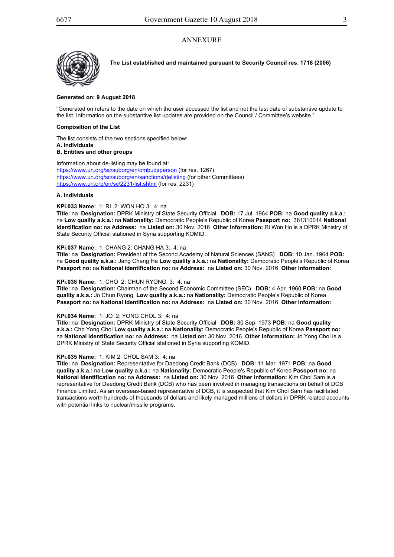## **ANNEXURE**



**The List established and maintained pursuant to Security Council res. 1718 (2006)**

#### **Generated on: 9 August 2018**

"Generated on refers to the date on which the user accessed the list and not the last date of substantive update to the list. Information on the substantive list updates are provided on the Council / Committee's website."

#### **Composition of the List**

The list consists of the two sections specified below: **A. Individuals**

#### **B. Entities and other groups**

Information about de-listing may be found at: https://www.un.org/sc/suborg/en/ombudsperson (for res. 1267) https://www.un.org/sc/suborg/en/sanctions/delisting (for other Committees) https://www.un.org/en/sc/2231/list.shtml (for res. 2231)

#### **A. Individuals**

## **KPi.033 Name:** 1: RI 2: WON HO 3: 4: na

**Title:** na **Designation:** DPRK Ministry of State Security Official **DOB:** 17 Jul. 1964 **POB:** na **Good quality a.k.a.:** na **Low quality a.k.a.:** na **Nationality:** Democratic People's Republic of Korea **Passport no:** 381310014 **National identification no:** na **Address:** na **Listed on:** 30 Nov. 2016 **Other information:** Ri Won Ho is a DPRK Ministry of State Security Official stationed in Syria supporting KOMID.

#### **KPi.037 Name:** 1: CHANG 2: CHANG HA 3: 4: na

**Title:** na **Designation:** President of the Second Academy of Natural Sciences (SANS) **DOB:** 10 Jan. 1964 **POB:** na **Good quality a.k.a.:** Jang Chang Ha **Low quality a.k.a.:** na **Nationality:** Democratic People's Republic of Korea **Passport no:** na **National identification no:** na **Address:** na **Listed on:** 30 Nov. 2016 **Other information:**

#### **KPi.038 Name:** 1: CHO 2: CHUN RYONG 3: 4: na

**Title:** na **Designation:** Chairman of the Second Economic Committee (SEC) **DOB:** 4 Apr. 1960 **POB:** na **Good quality a.k.a.:** Jo Chun Ryong **Low quality a.k.a.:** na **Nationality:** Democratic People's Republic of Korea **Passport no:** na **National identification no:** na **Address:** na **Listed on:** 30 Nov. 2016 **Other information:**

#### **KPi.034 Name:** 1: JO 2: YONG CHOL 3: 4: na

**Title:** na **Designation:** DPRK Ministry of State Security Official **DOB:** 30 Sep. 1973 **POB:** na **Good quality a.k.a.:** Cho Yong Chol **Low quality a.k.a.:** na **Nationality:** Democratic People's Republic of Korea **Passport no:** na **National identification no:** na **Address:** na **Listed on:** 30 Nov. 2016 **Other information:** Jo Yong Chol is a DPRK Ministry of State Security Official stationed in Syria supporting KOMID.

#### **KPi.035 Name:** 1: KIM 2: CHOL SAM 3: 4: na

**Title:** na **Designation:** Representative for Daedong Credit Bank (DCB) **DOB:** 11 Mar. 1971 **POB:** na **Good quality a.k.a.:** na **Low quality a.k.a.:** na **Nationality:** Democratic People's Republic of Korea **Passport no:** na **National identification no:** na **Address:** na **Listed on:** 30 Nov. 2016 **Other information:** Kim Chol Sam is a representative for Daedong Credit Bank (DCB) who has been involved in managing transactions on behalf of DCB Finance Limited. As an overseas-based representative of DCB, it is suspected that Kim Chol Sam has facilitated transactions worth hundreds of thousands of dollars and likely managed millions of dollars in DPRK related accounts with potential links to nuclear/missile programs.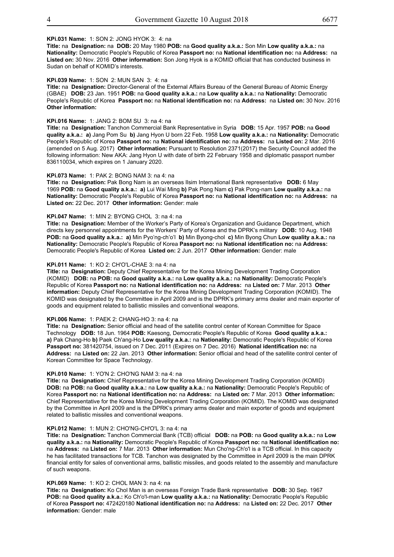Energy Industry.

## **KPi.031 Name:** 1: SON 2: JONG HYOK 3: 4: na

**Title:** na **Designation:** na **DOB:** 20 May 1980 **POB:** na **Good quality a.k.a.:** Son Min **Low quality a.k.a.:** na **Nationality:** Democratic People's Republic of Korea **Passport no:** na **National identification no:** na **Address:** na **Listed on:** 30 Nov. 2016 **Other information:** Son Jong Hyok is a KOMID official that has conducted business in Sudan on behalf of KOMID's interests.

#### **KPi.039 Name:** 1: SON 2: MUN SAN 3: 4: na

**Title:** na **Designation:** Director-General of the External Affairs Bureau of the General Bureau of Atomic Energy (GBAE) **DOB:** 23 Jan. 1951 **POB:** na **Good quality a.k.a.:** na **Low quality a.k.a.:** na **Nationality:** Democratic People's Republic of Korea **Passport no:** na **National identification no:** na **Address:** na **Listed on:** 30 Nov. 2016 **Other information:**

#### **KPi.016 Name:** 1: JANG 2: BOM SU 3: na 4: na

**Title:** na **Designation:** Tanchon Commercial Bank Representative in Syria **DOB:** 15 Apr. 1957 **POB:** na **Good quality a.k.a.: a)** Jang Pom Su **b)** Jang Hyon U born 22 Feb. 1958 **Low quality a.k.a.:** na **Nationality:** Democratic People's Republic of Korea **Passport no:** na **National identification no:** na **Address:** na **Listed on:** 2 Mar. 2016 (amended on 5 Aug. 2017) **Other information:** Pursuant to Resolution 2371(2017) the Security Council added the following information: New AKA: Jang Hyon U with date of birth 22 February 1958 and diplomatic passport number 836110034, which expires on 1 January 2020.

#### **KPi.073 Name:** 1: PAK 2: BONG NAM 3: na 4: na

**Title:** na **Designation:** Pak Bong Nam is an overseas Ilsim International Bank representative **DOB:** 6 May 1969 **POB:** na **Good quality a.k.a.: a)** Lui Wai Ming **b)** Pak Pong Nam **c)** Pak Pong-nam **Low quality a.k.a.:** na **Nationality:** Democratic People's Republic of Korea **Passport no:** na **National identification no:** na **Address:** na **Listed on:** 22 Dec. 2017 **Other information:** Gender: male

#### **KPi.047 Name:** 1: MIN 2: BYONG CHOL 3: na 4: na

**Title:** na **Designation:** Member of the Worker's Party of Korea's Organization and Guidance Department, which directs key personnel appointments for the Workers' Party of Korea and the DPRK's military **DOB:** 10 Aug. 1948 **POB:** na **Good quality a.k.a.: a)** Min Pyo'ng-ch'o'l **b)** Min Byong-chol **c)** Min Byong Chun **Low quality a.k.a.:** na **Nationality:** Democratic People's Republic of Korea **Passport no:** na **National identification no:** na **Address:** Democratic People's Republic of Korea Listed on: 2 Jun. 2017 Other information: Gender: male

#### **KPi.011 Name:** 1: KO 2: CH'O'L-CHAE 3: na 4: na

Page 2 of 21 goods and equipment related to ballistic missiles and conventional weapons. **Title:** na **Designation:** Deputy Chief Representative for the Korea Mining Development Trading Corporation (KOMID) **DOB:** na **POB:** na **Good quality a.k.a.:** na **Low quality a.k.a.:** na **Nationality:** Democratic People's Republic of Korea **Passport no:** na **National identification no:** na **Address:** na **Listed on:** 7 Mar. 2013 **Other information:** Deputy Chief Representative for the Korea Mining Development Trading Corporation (KOMID). The KOMID was designated by the Committee in April 2009 and is the DPRK's primary arms dealer and main exporter of

#### **KPi.006 Name:** 1: PAEK 2: CHANG-HO 3: na 4: na

**Title:** na **Designation:** Senior official and head of the satellite control center of Korean Committee for Space Technology **DOB:** 18 Jun. 1964 **POB:** Kaesong, Democratic People's Republic of Korea **Good quality a.k.a.: a)** Pak Chang-Ho **b)** Paek Ch'ang-Ho **Low quality a.k.a.:** na **Nationality:** Democratic People's Republic of Korea **Passport no:** 381420754, issued on 7 Dec. 2011 (Expires on 7 Dec. 2016) **National identification no:** na **Address:** na **Listed on:** 22 Jan. 2013 **Other information:** Senior official and head of the satellite control center of Korean Committee for Space Technology.

#### **KPi.010 Name:** 1: YO'N 2: CHO'NG NAM 3: na 4: na

**Title:** na **Designation:** Chief Representative for the Korea Mining Development Trading Corporation (KOMID) **DOB:** na **POB:** na **Good quality a.k.a.:** na **Low quality a.k.a.:** na **Nationality:** Democratic People's Republic of Korea **Passport no:** na **National identification no:** na **Address:** na **Listed on:** 7 Mar. 2013 **Other information:** Chief Representative for the Korea Mining Development Trading Corporation (KOMID). The KOMID was designated by the Committee in April 2009 and is the DPRK's primary arms dealer and main exporter of goods and equipment related to ballistic missiles and conventional weapons.

#### **KPi.012 Name:** 1: MUN 2: CHO'NG-CH'O'L 3: na 4: na

**Title:** na **Designation:** Tanchon Commercial Bank (TCB) official **DOB:** na **POB:** na **Good quality a.k.a.:** na **Low quality a.k.a.:** na **Nationality:** Democratic People's Republic of Korea **Passport no:** na **National identification no:** na **Address:** na **Listed on:** 7 Mar. 2013 **Other information:** Mun Cho'ng-Ch'o'l is a TCB official. In this capacity he has facilitated transactions for TCB. Tanchon was designated by the Committee in April 2009 is the main DPRK financial entity for sales of conventional arms, ballistic missiles, and goods related to the assembly and manufacture of such weapons.

#### **KPi.069 Name:** 1: KO 2: CHOL MAN 3: na 4: na

**Title:** na **Designation:** Ko Chol Man is an overseas Foreign Trade Bank representative **DOB:** 30 Sep. 1967 **POB:** na **Good quality a.k.a.:** Ko Ch'o'l-man **Low quality a.k.a.:** na **Nationality:** Democratic People's Republic of Korea **Passport no:** 472420180 **National identification no:** na **Address:** na **Listed on:** 22 Dec. 2017 **Other information:** Gender: male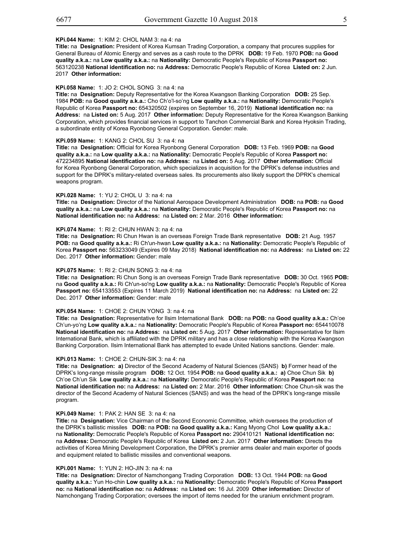**information:** Gender: male

## **KPi.044 Name:** 1: KIM 2: CHOL NAM 3: na 4: na

**Title:** na **Designation:** President of Korea Kumsan Trading Corporation, a company that procures supplies for General Bureau of Atomic Energy and serves as a cash route to the DPRK **DOB:** 19 Feb. 1970 **POB:** na **Good quality a.k.a.:** na **Low quality a.k.a.:** na **Nationality:** Democratic People's Republic of Korea **Passport no:** 563120238 **National identification no:** na **Address:** Democratic People's Republic of Korea **Listed on:** 2 Jun. 2017 **Other information:**

#### **KPi.058 Name:** 1: JO 2: CHOL SONG 3: na 4: na

**Title:** na **Designation:** Deputy Representative for the Korea Kwangson Banking Corporation **DOB:** 25 Sep. 1984 **POB:** na **Good quality a.k.a.:** Cho Ch'o'l-so'ng **Low quality a.k.a.:** na **Nationality:** Democratic People's Republic of Korea **Passport no:** 654320502 (expires on September 16, 2019) **National identification no:** na **Address:** na **Listed on:** 5 Aug. 2017 **Other information:** Deputy Representative for the Korea Kwangson Banking Corporation, which provides financial services in support to Tanchon Commercial Bank and Korea Hyoksin Trading, a subordinate entity of Korea Ryonbong General Corporation. Gender: male.

## **KPi.059 Name:** 1: KANG 2: CHOL SU 3: na 4: na

Page 3 of 21 **Title:** na **Designation:** Official for Korea Ryonbong General Corporation **DOB:** 13 Feb. 1969 **POB:** na **Good quality a.k.a.:** na **Low quality a.k.a.:** na **Nationality:** Democratic People's Republic of Korea **Passport no:** 472234895 **National identification no:** na **Address:** na **Listed on:** 5 Aug. 2017 **Other information:** Official for Korea Ryonbong General Corporation, which specializes in acquisition for the DPRK's defense industries and support for the DPRK's military-related overseas sales. Its procurements also likely support the DPRK's chemical weapons program.

#### **KPi.028 Name:** 1: YU 2: CHOL U 3: na 4: na

**Title:** na **Designation:** Director of the National Aerospace Development Administration **DOB:** na **POB:** na **Good quality a.k.a.:** na **Low quality a.k.a.:** na **Nationality:** Democratic People's Republic of Korea **Passport no:** na **National identification no:** na **Address:** na **Listed on:** 2 Mar. 2016 **Other information:**

## **KPi.074 Name:** 1: RI 2: CHUN HWAN 3: na 4: na

**Title:** na **Designation:** Ri Chun Hwan is an overseas Foreign Trade Bank representative **DOB:** 21 Aug. 1957 **POB:** na **Good quality a.k.a.:** Ri Ch'un-hwan **Low quality a.k.a.:** na **Nationality:** Democratic People's Republic of Korea **Passport no:** 563233049 (Expires 09 May 2018) **National identification no:** na **Address:** na **Listed on:** 22 Dec. 2017 **Other information:** Gender: male

#### **KPi.075 Name:** 1: RI 2: CHUN SONG 3: na 4: na

**Title:** na **Designation:** Ri Chun Song is an overseas Foreign Trade Bank representative **DOB:** 30 Oct. 1965 **POB:** na **Good quality a.k.a.:** Ri Ch'un-so'ng **Low quality a.k.a.:** na **Nationality:** Democratic People's Republic of Korea **Passport no:** 654133553 (Expires 11 March 2019) **National identification no:** na **Address:** na **Listed on:** 22 Dec. 2017 **Other information:** Gender: male

#### **KPi.054 Name:** 1: CHOE 2: CHUN YONG 3: na 4: na

**Title:** na **Designation:** Representative for Ilsim International Bank **DOB:** na **POB:** na **Good quality a.k.a.:** Ch'oe Ch'un-yo'ng **Low quality a.k.a.:** na **Nationality:** Democratic People's Republic of Korea **Passport no:** 654410078 **National identification no:** na **Address:** na **Listed on:** 5 Aug. 2017 **Other information:** Representative for Ilsim International Bank, which is affiliated with the DPRK military and has a close relationship with the Korea Kwangson Banking Corporation. Ilsim International Bank has attempted to evade United Nations sanctions. Gender: male.

#### **KPi.013 Name:** 1: CHOE 2: CHUN-SIK 3: na 4: na

**Title:** na **Designation: a)** Director of the Second Academy of Natural Sciences (SANS) **b)** Former head of the DPRK's long-range missile program **DOB:** 12 Oct. 1954 **POB:** na **Good quality a.k.a.: a)** Choe Chun Sik **b)** Ch'oe Ch'un Sik **Low quality a.k.a.:** na **Nationality:** Democratic People's Republic of Korea **Passport no:** na **National identification no:** na **Address:** na **Listed on:** 2 Mar. 2016 **Other information:** Choe Chun-sik was the director of the Second Academy of Natural Sciences (SANS) and was the head of the DPRK's long-range missile program.

#### **KPi.049 Name:** 1: PAK 2: HAN SE 3: na 4: na

**Title:** na **Designation:** Vice Chairman of the Second Economic Committee, which oversees the production of the DPRK's ballistic missiles **DOB:** na **POB:** na **Good quality a.k.a.:** Kang Myong Chol **Low quality a.k.a.:** na **Nationality:** Democratic People's Republic of Korea **Passport no:** 290410121 **National identification no:** na **Address:** Democratic People's Republic of Korea **Listed on:** 2 Jun. 2017 **Other information:** Directs the activities of Korea Mining Development Corporation, the DPRK's premier arms dealer and main exporter of goods and equipment related to ballistic missiles and conventional weapons.

#### **KPi.001 Name:** 1: YUN 2: HO-JIN 3: na 4: na

**Title:** na **Designation:** Director of Namchongang Trading Corporation **DOB:** 13 Oct. 1944 **POB:** na **Good quality a.k.a.:** Yun Ho-chin **Low quality a.k.a.:** na **Nationality:** Democratic People's Republic of Korea **Passport no:** na **National identification no:** na **Address:** na **Listed on:** 16 Jul. 2009 **Other information:** Director of Namchongang Trading Corporation; oversees the import of items needed for the uranium enrichment program.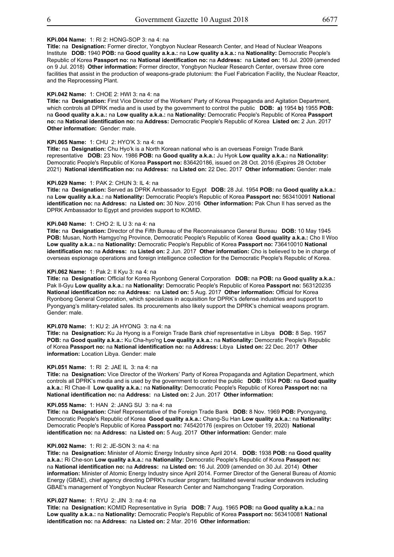Res. 1718 (2006) List

#### **KPi.004 Name:** 1: RI 2: HONG-SOP 3: na 4: na

**Title:** na **Designation:** Former director, Yongbyon Nuclear Research Center, and Head of Nuclear Weapons Institute **DOB:** 1940 **POB:** na **Good quality a.k.a.:** na **Low quality a.k.a.:** na **Nationality:** Democratic People's Republic of Korea **Passport no:** na **National identification no:** na **Address:** na **Listed on:** 16 Jul. 2009 (amended on 9 Jul. 2018) **Other information:** Former director, Yongbyon Nuclear Research Center, oversaw three core facilities that assist in the production of weapons-grade plutonium: the Fuel Fabrication Facility, the Nuclear Reactor, and the Reprocessing Plant.

#### **KPi.042 Name:** 1: CHOE 2: HWI 3: na 4: na

**Title:** na **Designation:** First Vice Director of the Workers' Party of Korea Propaganda and Agitation Department, which controls all DPRK media and is used by the government to control the public **DOB: a)** 1954 **b)** 1955 **POB:** na **Good quality a.k.a.:** na **Low quality a.k.a.:** na **Nationality:** Democratic People's Republic of Korea **Passport no:** na **National identification no:** na **Address:** Democratic People's Republic of Korea **Listed on:** 2 Jun. 2017 **Other information:** Gender: male.

## **KPi.065 Name:** 1: CHU 2: HYO'K 3: na 4: na

**Title:** na **Designation:** Chu Hyo'k is a North Korean national who is an overseas Foreign Trade Bank representative **DOB:** 23 Nov. 1986 **POB:** na **Good quality a.k.a.:** Ju Hyok **Low quality a.k.a.:** na **Nationality:** Democratic People's Republic of Korea **Passport no:** 836420186, issued on 28 Oct. 2016 (Expires 28 October 2021) **National identification no:** na **Address:** na **Listed on:** 22 Dec. 2017 **Other information:** Gender: male

#### **KPi.029 Name:** 1: PAK 2: CHUN 3: IL 4: na

**Title:** na **Designation:** Served as DPRK Ambassador to Egypt **DOB:** 28 Jul. 1954 **POB:** na **Good quality a.k.a.:** na **Low quality a.k.a.:** na **Nationality:** Democratic People's Republic of Korea **Passport no:** 563410091 **National identification no:** na **Address:** na **Listed on:** 30 Nov. 2016 **Other information:** Pak Chun Il has served as the DPRK Ambassador to Egypt and provides support to KOMID.

#### **KPi.040 Name:** 1: CHO 2: IL U 3: na 4: na

**Title:** na **Designation:** Director of the Fifth Bureau of the Reconnaissance General Bureau **DOB:** 10 May 1945 **POB:** Musan, North Hamgyo'ng Province, Democratic People's Republic of Korea **Good quality a.k.a.:** Cho Il Woo **Low quality a.k.a.:** na **Nationality:** Democratic People's Republic of Korea **Passport no:** 736410010 **National identification no:** na **Address:** na **Listed on:** 2 Jun. 2017 **Other information:** Cho is believed to be in charge of overseas espionage operations and foreign intelligence collection for the Democratic People's Republic of Korea.

#### **KPi.062 Name:** 1: Pak 2: Il Kyu 3: na 4: na

**Title:** na **Designation:** Official for Korea Ryonbong General Corporation **DOB:** na **POB:** na **Good quality a.k.a.:** Pak Il-Gyu **Low quality a.k.a.:** na **Nationality:** Democratic People's Republic of Korea **Passport no:** 563120235 **National identification no:** na **Address:** na **Listed on:** 5 Aug. 2017 **Other information:** Official for Korea Ryonbong General Corporation, which specializes in acquisition for DPRK's defense industries and support to Pyongyang's military-related sales. Its procurements also likely support the DPRK's chemical weapons program. Gender: male.

#### **KPi.070 Name:** 1: KU 2: JA HYONG 3: na 4: na

**Title:** na **Designation:** Ku Ja Hyong is a Foreign Trade Bank chief representative in Libya **DOB:** 8 Sep. 1957 **POB:** na **Good quality a.k.a.:** Ku Cha-hyo'ng **Low quality a.k.a.:** na **Nationality:** Democratic People's Republic of Korea **Passport no:** na **National identification no:** na **Address:** Libya **Listed on:** 22 Dec. 2017 **Other information:** Location Libya. Gender: male

#### **KPi.051 Name:** 1: RI 2: JAE IL 3: na 4: na

**Title:** na **Designation:** Vice Director of the Workers' Party of Korea Propaganda and Agitation Department, which controls all DPRK's media and is used by the government to control the public **DOB:** 1934 **POB:** na **Good quality a.k.a.:** RI Chae-Il **Low quality a.k.a.:** na **Nationality:** Democratic People's Republic of Korea **Passport no:** na **National identification no: na Address: na Listed on: 2 Jun. 2017 Other information:** 

#### **KPi.055 Name:** 1: HAN 2: JANG SU 3: na 4: na

**Title:** na **Designation:** Chief Representative of the Foreign Trade Bank **DOB:** 8 Nov. 1969 **POB:** Pyongyang, Democratic People's Republic of Korea **Good quality a.k.a.:** Chang-Su Han **Low quality a.k.a.:** na **Nationality:** Democratic People's Republic of Korea **Passport no:** 745420176 (expires on October 19, 2020) **National identification no:** na **Address:** na **Listed on:** 5 Aug. 2017 **Other information:** Gender: male

#### **KPi.002 Name:** 1: RI 2: JE-SON 3: na 4: na

**Title:** na **Designation:** Minister of Atomic Energy Industry since April 2014. **DOB:** 1938 **POB:** na **Good quality a.k.a.:** Ri Che-son **Low quality a.k.a.:** na **Nationality:** Democratic People's Republic of Korea **Passport no:** na **National identification no:** na **Address:** na **Listed on:** 16 Jul. 2009 (amended on 30 Jul. 2014) **Other information:** Minister of Atomic Energy Industry since April 2014. Former Director of the General Bureau of Atomic Energy (GBAE), chief agency directing DPRK's nuclear program; facilitated several nuclear endeavors including GBAE's management of Yongbyon Nuclear Research Center and Namchongang Trading Corporation.

#### **KPi.027 Name:** 1: RYU 2: JIN 3: na 4: na

**Title:** na **Designation:** KOMID Representative in Syria **DOB:** 7 Aug. 1965 **POB:** na **Good quality a.k.a.:** na **Low quality a.k.a.:** na **Nationality:** Democratic People's Republic of Korea **Passport no:** 563410081 **National identification no:** na **Address:** na **Listed on:** 2 Mar. 2016 **Other information:**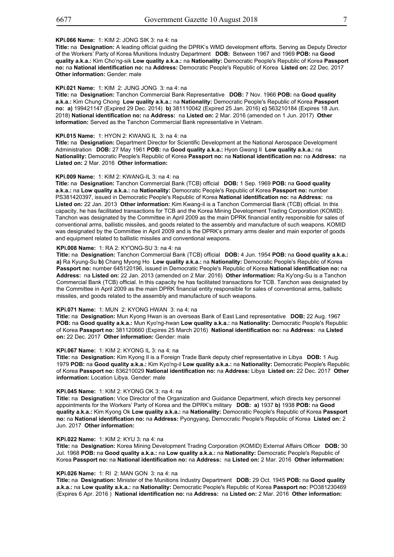#### **KPi.066 Name:** 1: KIM 2: JONG SIK 3: na 4: na

**identification no:** na **Address:** na **Listed on:** 2 Mar. 2016 **Other information:**

**Title:** na **Designation:** A leading official guiding the DPRK's WMD development efforts. Serving as Deputy Director of the Workers' Party of Korea Munitions Industry Department **DOB:** Between 1967 and 1969 **POB:** na **Good quality a.k.a.:** Kim Cho'ng-sik **Low quality a.k.a.:** na **Nationality:** Democratic People's Republic of Korea **Passport no:** na **National identification no:** na **Address:** Democratic People's Republic of Korea **Listed on:** 22 Dec. 2017 **Other information: Gender: male** 

#### **KPi.021 Name:** 1: KIM 2: JUNG JONG 3: na 4: na

**Title:** na **Designation:** Tanchon Commercial Bank Representative **DOB:** 7 Nov. 1966 **POB:** na **Good quality a.k.a.:** Kim Chung Chong **Low quality a.k.a.:** na **Nationality:** Democratic People's Republic of Korea **Passport no: a)** 199421147 (Expired 29 Dec. 2014) **b)** 381110042 (Expired 25 Jan. 2016) **c)** 563210184 (Expires 18 Jun. 2018) **National identification no:** na **Address:** na **Listed on:** 2 Mar. 2016 (amended on 1 Jun. 2017) **Other information:** Served as the Tanchon Commercial Bank representative in Vietnam.

#### **KPi.015 Name:** 1: HYON 2: KWANG IL 3: na 4: na

**Title:** na **Designation:** Department Director for Scientific Development at the National Aerospace Development Administration **DOB:** 27 May 1961 **POB:** na **Good quality a.k.a.:** Hyon Gwang Il **Low quality a.k.a.:** na **Nationality:** Democratic People's Republic of Korea **Passport no:** na **National identification no:** na **Address:** na **Listed on:** 2 Mar. 2016 **Other information:**

#### **KPi.009 Name:** 1: KIM 2: KWANG-IL 3: na 4: na

**Title:** na **Designation:** Tanchon Commercial Bank (TCB) official **DOB:** 1 Sep. 1969 **POB:** na **Good quality a.k.a.:** na **Low quality a.k.a.:** na **Nationality:** Democratic People's Republic of Korea **Passport no:** number PS381420397, issued in Democratic People's Republic of Korea **National identification no:** na **Address:** na **Listed on:** 22 Jan. 2013 **Other information:** Kim Kwang-il is a Tanchon Commercial Bank (TCB) official. In this capacity, he has facilitated transactions for TCB and the Korea Mining Development Trading Corporation (KOMID). Tanchon was designated by the Committee in April 2009 as the main DPRK financial entity responsible for sales of conventional arms, ballistic missiles, and goods related to the assembly and manufacture of such weapons. KOMID was designated by the Committee in April 2009 and is the DPRK's primary arms dealer and main exporter of goods<br> and equipment related to ballistic missiles and conventional weapons.

#### **KPi.008 Name:** 1: RA 2: KY'ONG-SU 3: na 4: na

**Title:** na **Designation:** Tanchon Commercial Bank (TCB) official **DOB:** 4 Jun. 1954 **POB:** na **Good quality a.k.a.: a)** Ra Kyung-Su **b)** Chang Myong Ho **Low quality a.k.a.:** na **Nationality:** Democratic People's Republic of Korea **Passport no:** number 645120196, issued in Democratic People's Republic of Korea **National identification no:** na **Address:** na **Listed on:** 22 Jan. 2013 (amended on 2 Mar. 2016) **Other information:** Ra Ky'ong-Su is a Tanchon Commercial Bank (TCB) official. In this capacity he has facilitated transactions for TCB. Tanchon was designated by the Committee in April 2009 as the main DPRK financial entity responsible for sales of conventional arms, ballistic missiles, and goods related to the assembly and manufacture of such weapons.

#### **KPi.071 Name:** 1: MUN 2: KYONG HWAN 3: na 4: na

**Title:** na **Designation:** Mun Kyong Hwan is an overseas Bank of East Land representative **DOB:** 22 Aug. 1967 **POB:** na **Good quality a.k.a.:** Mun Kyo'ng-hwan **Low quality a.k.a.:** na **Nationality:** Democratic People's Republic of Korea **Passport no:** 381120660 (Expires 25 March 2016) **National identification no:** na **Address:** na **Listed on:** 22 Dec. 2017 **Other information:** Gender: male

#### **KPi.067 Name:** 1: KIM 2: KYONG IL 3: na 4: na

**Title:** na **Designation:** Kim Kyong Il is a Foreign Trade Bank deputy chief representative in Libya **DOB:** 1 Aug. 1979 **POB:** na **Good quality a.k.a.:** Kim Kyo'ng-il **Low quality a.k.a.:** na **Nationality:** Democratic People's Republic of Korea **Passport no:** 836210029 **National identification no:** na **Address:** Libya **Listed on:** 22 Dec. 2017 **Other information:** Location Libya. Gender: male

#### **KPi.045 Name:** 1: KIM 2: KYONG OK 3: na 4: na

**Title:** na **Designation:** Vice Director of the Organization and Guidance Department, which directs key personnel appointments for the Workers' Party of Korea and the DPRK's military **DOB: a)** 1937 **b)** 1938 **POB:** na **Good quality a.k.a.:** Kim Kyong Ok **Low quality a.k.a.:** na **Nationality:** Democratic People's Republic of Korea **Passport no:** na **National identification no:** na **Address:** Pyongyang, Democratic People's Republic of Korea **Listed on:** 2 Jun. 2017 **Other information:**

#### **KPi.022 Name:** 1: KIM 2: KYU 3: na 4: na

**Title:** na **Designation:** Korea Mining Development Trading Corporation (KOMID) External Affairs Officer **DOB:** 30 Jul. 1968 **POB:** na **Good quality a.k.a.:** na **Low quality a.k.a.:** na **Nationality:** Democratic People's Republic of Korea **Passport no:** na **National identification no:** na **Address:** na **Listed on:** 2 Mar. 2016 **Other information:**

#### **KPi.026 Name:** 1: RI 2: MAN GON 3: na 4: na

**Title:** na **Designation:** Minister of the Munitions Industry Department **DOB:** 29 Oct. 1945 **POB:** na **Good quality a.k.a.:** na **Low quality a.k.a.:** na **Nationality:** Democratic People's Republic of Korea **Passport no:** PO381230469 (Expires 6 Apr. 2016 ) **National identification no:** na **Address:** na **Listed on:** 2 Mar. 2016 **Other information:**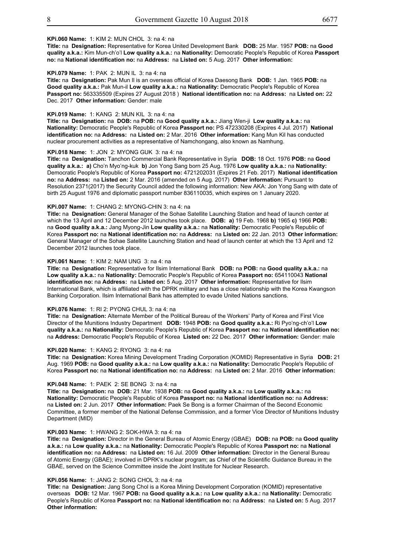## **KPi.060 Name:** 1: KIM 2: MUN CHOL 3: na 4: na

**Title:** na **Designation:** Representative for Korea United Development Bank **DOB:** 25 Mar. 1957 **POB:** na **Good quality a.k.a.:** Kim Mun-ch'o'l **Low quality a.k.a.:** na **Nationality:** Democratic People's Republic of Korea **Passport no:** na **National identification no:** na **Address:** na **Listed on:** 5 Aug. 2017 **Other information:**

#### **KPi.079 Name:** 1: PAK 2: MUN IL 3: na 4: na

**Title:** na **Designation:** Pak Mun Il is an overseas official of Korea Daesong Bank **DOB:** 1 Jan. 1965 **POB:** na **Good quality a.k.a.:** Pak Mun-il **Low quality a.k.a.:** na **Nationality:** Democratic People's Republic of Korea **Passport no:** 563335509 (Expires 27 August 2018 ) **National identification no:** na **Address:** na **Listed on:** 22 Dec. 2017 **Other information:** Gender: male

#### **KPi.019 Name:** 1: KANG 2: MUN KIL 3: na 4: na

**Title:** na **Designation:** na **DOB:** na **POB:** na **Good quality a.k.a.:** Jiang Wen-ji **Low quality a.k.a.:** na **Nationality:** Democratic People's Republic of Korea **Passport no:** PS 472330208 (Expires 4 Jul. 2017) **National identification no:** na **Address:** na **Listed on:** 2 Mar. 2016 **Other information:** Kang Mun Kil has conducted nuclear procurement activities as a representative of Namchongang, also known as Namhung.

#### **KPi.018 Name:** 1: JON 2: MYONG GUK 3: na 4: na

Page 7 of 21 **no:** na **Address:** na **Listed on:** 2 Mar. 2016 (amended on 5 Aug. 2017) **Other information:** Pursuant to **Title:** na **Designation:** Tanchon Commercial Bank Representative in Syria **DOB:** 18 Oct. 1976 **POB:** na **Good quality a.k.a.: a)** Cho'n Myo'ng-kuk **b)** Jon Yong Sang born 25 Aug. 1976 **Low quality a.k.a.:** na **Nationality:** Democratic People's Republic of Korea **Passport no:** 4721202031 (Expires 21 Feb. 2017) **National identification** Resolution 2371(2017) the Security Council added the following information: New AKA: Jon Yong Sang with date of birth 25 August 1976 and diplomatic passport number 836110035, which expires on 1 January 2020.

## **KPi.007 Name:** 1: CHANG 2: MYONG-CHIN 3: na 4: na

**Title:** na **Designation:** General Manager of the Sohae Satellite Launching Station and head of launch center at which the 13 April and 12 December 2012 launches took place. **DOB: a)** 19 Feb. 1968 **b)** 1965 **c)** 1966 **POB:** na **Good quality a.k.a.:** Jang Myong-Jin **Low quality a.k.a.:** na **Nationality:** Democratic People's Republic of Korea **Passport no:** na **National identification no:** na **Address:** na **Listed on:** 22 Jan. 2013 **Other information:** General Manager of the Sohae Satellite Launching Station and head of launch center at which the 13 April and 12 December 2012 launches took place.

#### **KPi.061 Name:** 1: KIM 2: NAM UNG 3: na 4: na

**Title:** na **Designation:** Representative for Ilsim International Bank **DOB:** na **POB:** na **Good quality a.k.a.:** na **Low quality a.k.a.:** na **Nationality:** Democratic People's Republic of Korea **Passport no:** 654110043 **National identification no:** na **Address:** na **Listed on:** 5 Aug. 2017 **Other information:** Representative for Ilsim International Bank, which is affiliated with the DPRK military and has a close relationship with the Korea Kwangson Banking Corporation. Ilsim International Bank has attempted to evade United Nations sanctions.

#### **KPi.076 Name:** 1: RI 2: PYONG CHUL 3: na 4: na

**Title:** na **Designation:** Alternate Member of the Political Bureau of the Workers' Party of Korea and First Vice Director of the Munitions Industry Department **DOB:** 1948 **POB:** na **Good quality a.k.a.:** Ri Pyo'ng-ch'o'l **Low quality a.k.a.:** na **Nationality:** Democratic People's Republic of Korea **Passport no:** na **National identification no:** na **Address:** Democratic People's Republic of Korea **Listed on:** 22 Dec. 2017 **Other information:** Gender: male

#### **KPi.020 Name:** 1: KANG 2: RYONG 3: na 4: na

**Title:** na **Designation:** Korea Mining Development Trading Corporation (KOMID) Representative in Syria **DOB:** 21 Aug. 1969 **POB:** na **Good quality a.k.a.:** na **Low quality a.k.a.:** na **Nationality:** Democratic People's Republic of Korea **Passport no:** na **National identification no:** na **Address:** na **Listed on:** 2 Mar. 2016 **Other information:**

#### **KPi.048 Name:** 1: PAEK 2: SE BONG 3: na 4: na

**Title:** na **Designation:** na **DOB:** 21 Mar. 1938 **POB:** na **Good quality a.k.a.:** na **Low quality a.k.a.:** na **Nationality:** Democratic People's Republic of Korea **Passport no:** na **National identification no:** na **Address:**  na **Listed on:** 2 Jun. 2017 **Other information:** Paek Se Bong is a former Chairman of the Second Economic Committee, a former member of the National Defense Commission, and a former Vice Director of Munitions Industry Department (MID)

#### **KPi.003 Name:** 1: HWANG 2: SOK-HWA 3: na 4: na

**Title:** na **Designation:** Director in the General Bureau of Atomic Energy (GBAE) **DOB:** na **POB:** na **Good quality a.k.a.:** na **Low quality a.k.a.:** na **Nationality:** Democratic People's Republic of Korea **Passport no:** na **National identification no:** na **Address:** na **Listed on:** 16 Jul. 2009 **Other information:** Director in the General Bureau of Atomic Energy (GBAE); involved in DPRK's nuclear program; as Chief of the Scientific Guidance Bureau in the GBAE, served on the Science Committee inside the Joint Institute for Nuclear Research.

#### **KPi.056 Name:** 1: JANG 2: SONG CHOL 3: na 4: na

**Title:** na **Designation:** Jang Song Chol is a Korea Mining Development Corporation (KOMID) representative overseas **DOB:** 12 Mar. 1967 **POB:** na **Good quality a.k.a.:** na **Low quality a.k.a.:** na **Nationality:** Democratic People's Republic of Korea **Passport no:** na **National identification no:** na **Address:** na **Listed on:** 5 Aug. 2017 **Other information:**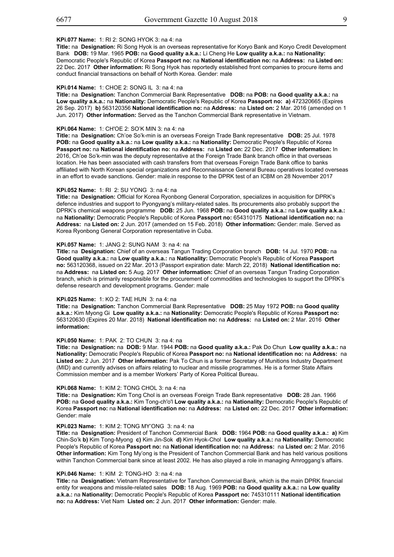Res. 1718 (2006) List

## **KPi.077 Name:** 1: RI 2: SONG HYOK 3: na 4: na

**Title:** na **Designation:** Ri Song Hyok is an overseas representative for Koryo Bank and Koryo Credit Development Bank **DOB:** 19 Mar. 1965 **POB:** na **Good quality a.k.a.:** Li Cheng He **Low quality a.k.a.:** na **Nationality:** Democratic People's Republic of Korea **Passport no:** na **National identification no:** na **Address:** na **Listed on:** 22 Dec. 2017 **Other information:** Ri Song Hyok has reportedly established front companies to procure items and conduct financial transactions on behalf of North Korea. Gender: male

#### **KPi.014 Name:** 1: CHOE 2: SONG IL 3: na 4: na

**Title:** na **Designation:** Tanchon Commercial Bank Representative **DOB:** na **POB:** na **Good quality a.k.a.:** na **Low quality a.k.a.:** na **Nationality:** Democratic People's Republic of Korea **Passport no: a)** 472320665 (Expires 26 Sep. 2017) **b)** 563120356 **National identification no:** na **Address:** na **Listed on:** 2 Mar. 2016 (amended on 1 Jun. 2017) **Other information:** Served as the Tanchon Commercial Bank representative in Vietnam.

#### **KPi.064 Name:** 1: CH'OE 2: SO'K MIN 3: na 4: na

**Title:** na **Designation:** Ch'oe So'k-min is an overseas Foreign Trade Bank representative **DOB:** 25 Jul. 1978 **POB:** na **Good quality a.k.a.:** na **Low quality a.k.a.:** na **Nationality:** Democratic People's Republic of Korea **Passport no:** na **National identification no:** na **Address:** na **Listed on:** 22 Dec. 2017 **Other information:** In 2016, Ch'oe So'k-min was the deputy representative at the Foreign Trade Bank branch office in that overseas location. He has been associated with cash transfers from that overseas Foreign Trade Bank office to banks affiliated with North Korean special organizations and Reconnaissance General Bureau operatives located overseas in an effort to evade sanctions. Gender: male.in response to the DPRK test of an ICBM on 28 November 2017

#### **KPi.052 Name:** 1: RI 2: SU YONG 3: na 4: na

**Title:** na **Designation:** Official for Korea Ryonbong General Corporation, specializes in acquisition for DPRK's defence industries and support to Pyongyang's military-related sales. Its procurements also probably support the DPRK's chemical weapons programme **DOB:** 25 Jun. 1968 **POB:** na **Good quality a.k.a.:** na **Low quality a.k.a.:** na **Nationality:** Democratic People's Republic of Korea **Passport no:** 654310175 **National identification no:** na **Address:** na **Listed on:** 2 Jun. 2017 (amended on 15 Feb. 2018) **Other information:** Gender: male. Served as Korea Ryonbong General Corporation representative in Cuba.

#### **KPi.057 Name:** 1: JANG 2: SUNG NAM 3: na 4: na

**Title:** na **Designation:** Chief of an overseas Tangun Trading Corporation branch **DOB:** 14 Jul. 1970 **POB:** na **Good quality a.k.a.:** na **Low quality a.k.a.:** na **Nationality:** Democratic People's Republic of Korea **Passport no:** 563120368, issued on 22 Mar. 2013 (Passport expiration date: March 22, 2018) **National identification no:** na **Address:** na **Listed on:** 5 Aug. 2017 **Other information:** Chief of an overseas Tangun Trading Corporation branch, which is primarily responsible for the procurement of commodities and technologies to support the DPRK's defense research and development programs. Gender: male

#### **KPi.025 Name:** 1: KO 2: TAE HUN 3: na 4: na

**Title:** na **Designation:** Tanchon Commercial Bank Representative **DOB:** 25 May 1972 **POB:** na **Good quality a.k.a.:** Kim Myong Gi **Low quality a.k.a.:** na **Nationality:** Democratic People's Republic of Korea **Passport no:** 563120630 (Expires 20 Mar. 2018) **National identification no:** na **Address:** na **Listed on:** 2 Mar. 2016 **Other information:**

#### **KPi.050 Name:** 1: PAK 2: TO CHUN 3: na 4: na

**Title:** na **Designation:** na **DOB:** 9 Mar. 1944 **POB:** na **Good quality a.k.a.:** Pak Do Chun **Low quality a.k.a.:** na **Nationality:** Democratic People's Republic of Korea **Passport no:** na **National identification no:** na **Address:** na **Listed on:** 2 Jun. 2017 **Other information:** Pak To Chun is a former Secretary of Munitions Industry Department (MID) and currently advises on affairs relating to nuclear and missile programmes. He is a former State Affairs Commission member and is a member Workers' Party of Korea Political Bureau.

#### **KPi.068 Name:** 1: KIM 2: TONG CHOL 3: na 4: na

**Title:** na **Designation:** Kim Tong Chol is an overseas Foreign Trade Bank representative **DOB:** 28 Jan. 1966 **POB:** na **Good quality a.k.a.:** Kim Tong-ch'o'l **Low quality a.k.a.:** na **Nationality:** Democratic People's Republic of Korea **Passport no:** na **National identification no:** na **Address:** na **Listed on:** 22 Dec. 2017 **Other information:** Gender: male

#### **KPi.023 Name:** 1: KIM 2: TONG MY'ONG 3: na 4: na

Page 9 of 21 Chin-So'k **b)** Kim Tong-Myong **c)** Kim Jin-Sok **d)** Kim Hyok-Chol **Low quality a.k.a.:** na **Nationality:** Democratic **Title:** na **Designation:** President of Tanchon Commercial Bank **DOB:** 1964 **POB:** na **Good quality a.k.a.: a)** Kim People's Republic of Korea **Passport no:** na **National identification no:** na **Address:** na **Listed on:** 2 Mar. 2016 **Other information:** Kim Tong My'ong is the President of Tanchon Commercial Bank and has held various positions within Tanchon Commercial bank since at least 2002. He has also played a role in managing Amroggang's affairs.

#### **KPi.046 Name:** 1: KIM 2: TONG-HO 3: na 4: na

**Title:** na **Designation:** Vietnam Representative for Tanchon Commercial Bank, which is the main DPRK financial entity for weapons and missile-related sales **DOB:** 18 Aug. 1969 **POB:** na **Good quality a.k.a.:** na **Low quality a.k.a.:** na **Nationality:** Democratic People's Republic of Korea **Passport no:** 745310111 **National identification no:** na **Address:** Viet Nam **Listed on:** 2 Jun. 2017 **Other information:** Gender: male.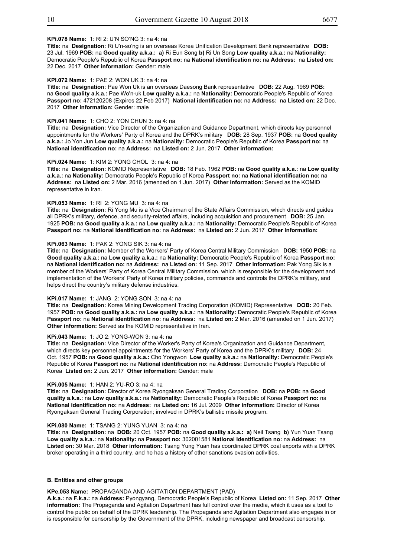## **KPi.078 Name:** 1: RI 2: U'N SO'NG 3: na 4: na

**Title:** na **Designation:** Ri U'n-so'ng is an overseas Korea Unification Development Bank representative **DOB:** 23 Jul. 1969 **POB:** na **Good quality a.k.a.: a)** Ri Eun Song **b)** Ri Un Song **Low quality a.k.a.:** na **Nationality:** Democratic People's Republic of Korea **Passport no:** na **National identification no:** na **Address:** na **Listed on:** 22 Dec. 2017 **Other information:** Gender: male

#### **KPi.072 Name:** 1: PAE 2: WON UK 3: na 4: na

**Title:** na **Designation:** Pae Won Uk is an overseas Daesong Bank representative **DOB:** 22 Aug. 1969 **POB:** na **Good quality a.k.a.:** Pae Wo'n-uk **Low quality a.k.a.:** na **Nationality:** Democratic People's Republic of Korea **Passport no:** 472120208 (Expires 22 Feb 2017) **National identification no:** na **Address:** na **Listed on:** 22 Dec. 2017 **Other information:** Gender: male

#### **KPi.041 Name:** 1: CHO 2: YON CHUN 3: na 4: na

**Title:** na **Designation:** Vice Director of the Organization and Guidance Department, which directs key personnel appointments for the Workers' Party of Korea and the DPRK's military **DOB:** 28 Sep. 1937 **POB:** na **Good quality a.k.a.:** Jo Yon Jun **Low quality a.k.a.:** na **Nationality:** Democratic People's Republic of Korea **Passport no:** na **National identification no:** na **Address:** na **Listed on:** 2 Jun. 2017 **Other information:**

## **KPi.024 Name:** 1: KIM 2: YONG CHOL 3: na 4: na

**Title:** na **Designation:** KOMID Representative **DOB:** 18 Feb. 1962 **POB:** na **Good quality a.k.a.:** na **Low quality a.k.a.:** na **Nationality:** Democratic People's Republic of Korea **Passport no:** na **National identification no:** na **Address:** na **Listed on:** 2 Mar. 2016 (amended on 1 Jun. 2017) **Other information:** Served as the KOMID representative in Iran.

#### **KPi.053 Name:** 1: RI 2: YONG MU 3: na 4: na

**Title:** na **Designation:** Ri Yong Mu is a Vice Chairman of the State Affairs Commission, which directs and guides all DPRK's military, defence, and security-related affairs, including acquisition and procurement **DOB:** 25 Jan. 1925 **POB:** na **Good quality a.k.a.:** na **Low quality a.k.a.:** na **Nationality:** Democratic People's Republic of Korea **Passport no:** na **National identification no:** na **Address:** na **Listed on:** 2 Jun. 2017 **Other information:**

#### **KPi.063 Name:** 1: PAK 2: YONG SIK 3: na 4: na

**Title:** na **Designation:** Member of the Workers' Party of Korea Central Military Commission **DOB:** 1950 **POB:** na **Good quality a.k.a.:** na **Low quality a.k.a.:** na **Nationality:** Democratic People's Republic of Korea **Passport no:** na **National identification no:** na **Address:** na **Listed on:** 11 Sep. 2017 **Other information:** Pak Yong Sik is a member of the Workers' Party of Korea Central Military Commission, which is responsible for the development and implementation of the Workers' Party of Korea military policies, commands and controls the DPRK's military, and helps direct the country's military defense industries.

#### **KPi.017 Name:** 1: JANG 2: YONG SON 3: na 4: na

**Title:** na **Designation:** Korea Mining Development Trading Corporation (KOMID) Representative **DOB:** 20 Feb. 1957 **POB:** na **Good quality a.k.a.:** na **Low quality a.k.a.:** na **Nationality:** Democratic People's Republic of Korea **Passport no:** na **National identification no:** na **Address:** na **Listed on:** 2 Mar. 2016 (amended on 1 Jun. 2017) **Other information:** Served as the KOMID representative in Iran.

#### **KPi.043 Name:** 1: JO 2: YONG-WON 3: na 4: na

which directs key personnel appointments for the Workers' Party of Korea and the DPRK's military **DOB:** 24 **Title:** na **Designation:** Vice Director of the Worker's Party of Korea's Organization and Guidance Department, Oct. 1957 **POB:** na **Good quality a.k.a.:** Cho Yongwon **Low quality a.k.a.:** na **Nationality:** Democratic People's Republic of Korea **Passport no:** na **National identification no:** na **Address:** Democratic People's Republic of Korea **Listed on:** 2 Jun. 2017 **Other information:** Gender: male

#### **KPi.005 Name:** 1: HAN 2: YU-RO 3: na 4: na

**Title:** na **Designation:** Director of Korea Ryongaksan General Trading Corporation **DOB:** na **POB:** na **Good quality a.k.a.:** na **Low quality a.k.a.:** na **Nationality:** Democratic People's Republic of Korea **Passport no:** na **National identification no:** na **Address:** na **Listed on:** 16 Jul. 2009 **Other information:** Director of Korea Ryongaksan General Trading Corporation; involved in DPRK's ballistic missile program.

#### **KPi.080 Name:** 1: TSANG 2: YUNG YUAN 3: na 4: na

**Title:** na **Designation:** na **DOB:** 20 Oct. 1957 **POB:** na **Good quality a.k.a.: a)** Neil Tsang **b)** Yun Yuan Tsang **Low quality a.k.a.:** na **Nationality:** na **Passport no:** 302001581 **National identification no:** na **Address:** na **Listed on:** 30 Mar. 2018 **Other information:** Tsang Yung Yuan has coordinated DPRK coal exports with a DPRK broker operating in a third country, and he has a history of other sanctions evasion activities.

#### **B. Entities and other groups**

## **KPe.053 Name:** PROPAGANDA AND AGITATION DEPARTMENT (PAD)

**A.k.a.:** na **F.k.a.:** na **Address:** Pyongyang, Democratic People's Republic of Korea **Listed on:** 11 Sep. 2017 **Other information:** The Propaganda and Agitation Department has full control over the media, which it uses as a tool to control the public on behalf of the DPRK leadership. The Propaganda and Agitation Department also engages in or is responsible for censorship by the Government of the DPRK, including newspaper and broadcast censorship.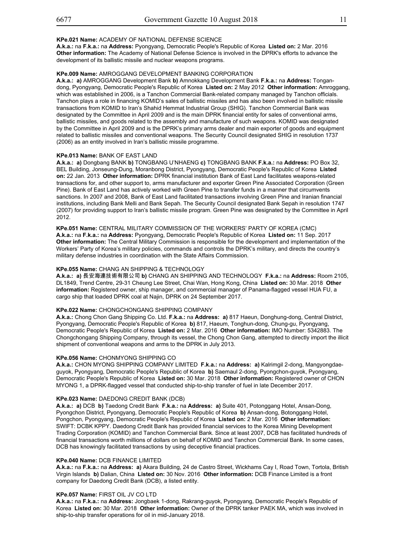## **KPe.021 Name:** ACADEMY OF NATIONAL DEFENSE SCIENCE

**A.k.a.:** na **F.k.a.:** na **Address:** Pyongyang, Democratic People's Republic of Korea **Listed on:** 2 Mar. 2016 **Other information:** The Academy of National Defense Science is involved in the DPRK's efforts to advance the development of its ballistic missile and nuclear weapons programs.

## **KPe.009 Name:** AMROGGANG DEVELOPMENT BANKING CORPORATION

**A.k.a.: a)** AMROGGANG Development Bank **b)** Amnokkang Development Bank **F.k.a.:** na **Address:** Tongandong, Pyongyang, Democratic People's Republic of Korea **Listed on:** 2 May 2012 **Other information:** Amroggang, which was established in 2006, is a Tanchon Commercial Bank-related company managed by Tanchon officials. Tanchon plays a role in financing KOMID's sales of ballistic missiles and has also been involved in ballistic missile transactions from KOMID to Iran's Shahid Hemmat Industrial Group (SHIG). Tanchon Commercial Bank was designated by the Committee in April 2009 and is the main DPRK financial entity for sales of conventional arms, ballistic missiles, and goods related to the assembly and manufacture of such weapons. KOMID was designated by the Committee in April 2009 and is the DPRK's primary arms dealer and main exporter of goods and equipment related to ballistic missiles and conventional weapons. The Security Council designated SHIG in resolution 1737 (2006) as an entity involved in Iran's ballistic missile programme.

## **KPe.013 Name:** BANK OF EAST LAND

**A.k.a.: a)** Dongbang BANK **b)** TONGBANG U'NHAENG **c)** TONGBANG BANK **F.k.a.:** na **Address:** PO Box 32, BEL Building, Jonseung-Dung, Moranbong District, Pyongyang, Democratic People's Republic of Korea **Listed on:** 22 Jan. 2013 **Other information:** DPRK financial institution Bank of East Land facilitates weapons-related transactions for, and other support to, arms manufacturer and exporter Green Pine Associated Corporation (Green Pine). Bank of East Land has actively worked with Green Pine to transfer funds in a manner that circumvents sanctions. In 2007 and 2008, Bank of East Land facilitated transactions involving Green Pine and Iranian financial institutions, including Bank Melli and Bank Sepah. The Security Council designated Bank Sepah in resolution 1747 (2007) for providing support to Iran's ballistic missile program. Green Pine was designated by the Committee in April 2012

**Other information:** The Central Military Commission is responsible for the development and implementation of the **KPe.051 Name:** CENTRAL MILITARY COMMISSION OF THE WORKERS' PARTY OF KOREA (CMC) **A.k.a.:** na **F.k.a.:** na **Address:** Pyongyang, Democratic People's Republic of Korea **Listed on:** 11 Sep. 2017 Workers' Party of Korea's military policies, commands and controls the DPRK's military, and directs the country's military defense industries in coordination with the State Affairs Commission.

## **KPe.055 Name:** CHANG AN SHIPPING & TECHNOLOGY

**A.k.a.: a)** 長安海連技術有限公司 **b)** CHANG AN SHIPPING AND TECHNOLOGY **F.k.a.:** na **Address:** Room 2105, DL1849, Trend Centre, 29-31 Cheung Lee Street, Chai Wan, Hong Kong, China **Listed on:** 30 Mar. 2018 **Other information:** Registered owner, ship manager, and commercial manager of Panama-flagged vessel HUA FU, a cargo ship that loaded DPRK coal at Najin, DPRK on 24 September 2017.

## **KPe.022 Name:** CHONGCHONGANG SHIPPING COMPANY

**A.k.a.:** Chong Chon Gang Shipping Co. Ltd. **F.k.a.:** na **Address: a)** 817 Haeun, Donghung-dong, Central District, Pyongyang, Democratic People's Republic of Korea **b)** 817, Haeum, Tonghun-dong, Chung-gu, Pyongyang, Democratic People's Republic of Korea **Listed on:** 2 Mar. 2016 **Other information:** IMO Number: 5342883. The Chongchongang Shipping Company, through its vessel, the Chong Chon Gang, attempted to directly import the illicit shipment of conventional weapons and arms to the DPRK in July 2013.

## **KPe.056 Name:** CHONMYONG SHIPPING CO

**A.k.a.:** CHON MYONG SHIPPING COMPANY LIMITED **F.k.a.:** na **Address: a)** Kalrimgil 2-dong, Mangyongdaeguyok, Pyongyang, Democratic People's Republic of Korea **b)** Saemaul 2-dong, Pyongchon-guyok, Pyongyang, Democratic People's Republic of Korea **Listed on:** 30 Mar. 2018 **Other information:** Registered owner of CHON MYONG 1, a DPRK-flagged vessel that conducted ship-to-ship transfer of fuel in late December 2017.

## **KPe.023 Name:** DAEDONG CREDIT BANK (DCB)

**A.k.a.: a)** DCB **b)** Taedong Credit Bank **F.k.a.:** na **Address: a)** Suite 401, Potonggang Hotel, Ansan-Dong, Pyongchon District, Pyongyang, Democratic People's Republic of Korea **b)** Ansan-dong, Botonggang Hotel, Pongchon, Pyongyang, Democratic People's Republic of Korea **Listed on:** 2 Mar. 2016 **Other information:** SWIFT: DCBK KPPY. Daedong Credit Bank has provided financial services to the Korea Mining Development Trading Corporation (KOMID) and Tanchon Commercial Bank. Since at least 2007, DCB has facilitated hundreds of financial transactions worth millions of dollars on behalf of KOMID and Tanchon Commercial Bank. In some cases, DCB has knowingly facilitated transactions by using deceptive financial practices.

## **KPe.040 Name:** DCB FINANCE LIMITED

**A.k.a.:** na **F.k.a.:** na **Address: a)** Akara Building, 24 de Castro Street, Wickhams Cay I, Road Town, Tortola, British Virgin Islands **b)** Dalian, China **Listed on:** 30 Nov. 2016 **Other information:** DCB Finance Limited is a front company for Daedong Credit Bank (DCB), a listed entity.

## **KPe.057 Name:** FIRST OIL JV CO LTD

**A.k.a.:** na **F.k.a.:** na **Address:** Jongbaek 1-dong, Rakrang-guyok, Pyongyang, Democratic People's Republic of Korea **Listed on:** 30 Mar. 2018 **Other information:** Owner of the DPRK tanker PAEK MA, which was involved in ship-to-ship transfer operations for oil in mid-January 2018.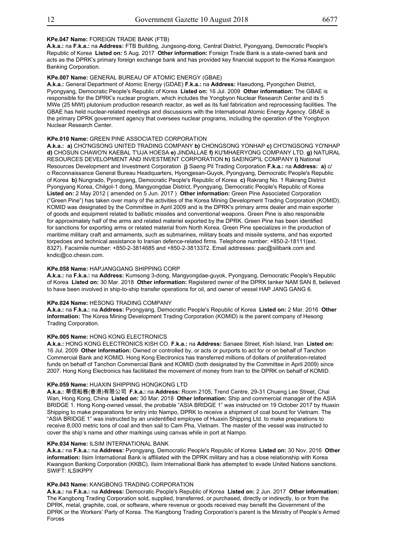## **KPe.047 Name:** FOREIGN TRADE BANK (FTB)

**A.k.a.:** na **F.k.a.:** na **Address:** FTB Building, Jungsong-dong, Central District, Pyongyang, Democratic People's Republic of Korea **Listed on:** 5 Aug. 2017 **Other information:** Foreign Trade Bank is a state-owned bank and acts as the DPRK's primary foreign exchange bank and has provided key financial support to the Korea Kwangson Banking Corporation.

## **KPe.007 Name:** GENERAL BUREAU OF ATOMIC ENERGY (GBAE)

**A.k.a.:** General Department of Atomic Energy (GDAE) **F.k.a.:** na **Address:** Haeudong, Pyongchen District, Pyongyang, Democratic People's Republic of Korea **Listed on:** 16 Jul. 2009 **Other information:** The GBAE is responsible for the DPRK's nuclear program, which includes the Yongbyon Nuclear Research Center and its 5 MWe (25 MWt) plutonium production research reactor, as well as its fuel fabrication and reprocessing facilities. The GBAE has held nuclear-related meetings and discussions with the International Atomic Energy Agency. GBAE is the primary DPRK government agency that oversees nuclear programs, including the operation of the Yongbyon Nuclear Research Center.

## **KPe.010 Name: GREEN PINE ASSOCIATED CORPORATION**

**A.k.a.: a)** CHO'NGSONG UNITED TRADING COMPANY **b)** CHONGSONG YONHAP **c)** CH'O'NGSONG YO'NHAP **d)** CHOSUN CHAWO'N KAEBAL T'UJA HOESA **e)** JINDALLAE **f)** KU'MHAERYONG COMPANY LTD. **g)** NATURAL RESOURCES DEVELOPMENT AND INVESTMENT CORPORATION **h)** SAEINGP'IL COMPANY **i)** National Resources Development and Investment Corporation **j)** Saeng Pil Trading Corporation **F.k.a.:** na **Address: a)** c/ o Reconnaissance General Bureau Headquarters, Hyongjesan-Guyok, Pyongyang, Democratic People's Republic of Korea **b)** Nungrado, Pyongyang, Democratic People's Republic of Korea **c)** Rakrang No. 1 Rakrang District Pyongyang Korea, Chilgol-1 dong, Mangyongdae District, Pyongyang, Democratic People's Republic of Korea **Listed on:** 2 May 2012 ( amended on 5 Jun. 2017 ) **Other information:** Green Pine Associated Corporation ("Green Pine") has taken over many of the activities of the Korea Mining Development Trading Corporation (KOMID). KOMID was designated by the Committee in April 2009 and is the DPRK's primary arms dealer and main exporter of goods and equipment related to ballistic missiles and conventional weapons. Green Pine is also responsible for approximately half of the arms and related materiel exported by the DPRK. Green Pine has been identified for sanctions for exporting arms or related material from North Korea. Green Pine specializes in the production of maritime military craft and armaments, such as submarines, military boats and missile systems, and has exported torpedoes and technical assistance to Iranian defence-related firms. Telephone number: +850-2-18111(ext. 8327). Facsimile number: +850-2-3814685 and +850-2-3813372. Email addresses: pac@silibank.com and kndic@co.chesin.com.

#### **KPe.058 Name:** HAPJANGGANG SHIPPING CORP

**A.k.a.:** na **F.k.a.:** na **Address:** Kumsong 3-dong, Mangyongdae-guyok, Pyongyang, Democratic People's Republic of Korea **Listed on:** 30 Mar. 2018 **Other information:** Registered owner of the DPRK tanker NAM SAN 8, believed to have been involved in ship-to-ship transfer operations for oil, and owner of vessel HAP JANG GANG 6.

#### **KPe.024 Name:** HESONG TRADING COMPANY

**A.k.a.:** na **F.k.a.:** na **Address:** Pyongyang, Democratic People's Republic of Korea **Listed on:** 2 Mar. 2016 **Other information:** The Korea Mining Development Trading Corporation (KOMID) is the parent company of Hesong Trading Corporation.

## **KPe.005 Name:** HONG KONG ELECTRONICS

**A.k.a.:** HONG KONG ELECTRONICS KISH CO. **F.k.a.:** na **Address:** Sanaee Street, Kish Island, Iran **Listed on:** 16 Jul. 2009 **Other information:** Owned or controlled by, or acts or purports to act for or on behalf of Tanchon Commercial Bank and KOMID. Hong Kong Electronics has transferred millions of dollars of proliferation-related funds on behalf of Tanchon Commercial Bank and KOMID (both designated by the Committee in April 2009) since 2007. Hong Kong Electronics has facilitated the movement of money from Iran to the DPRK on behalf of KOMID.

#### **KPe.059 Name:** HUAXIN SHIPPING HONGKONG LTD

**A.k.a.:** 華信船務(香港)有限公司 **F.k.a.:** na **Address:** Room 2105, Trend Centre, 29-31 Chueng Lee Street, Chai Wan, Hong Kong, China **Listed on:** 30 Mar. 2018 **Other information:** Ship and commercial manager of the ASIA BRIDGE 1. Hong Kong-owned vessel, the probable "ASIA BRIDGE 1" was instructed on 19 October 2017 by Huaxin Shipping to make preparations for entry into Nampo, DPRK to receive a shipment of coal bound for Vietnam. The "ASIA BRIDGE 1" was instructed by an unidentified employee of Huaxin Shipping Ltd. to make preparations to receive 8,000 metric tons of coal and then sail to Cam Pha, Vietnam. The master of the vessel was instructed to cover the ship's name and other markings using canvas while in port at Nampo.

#### **KPe.034 Name:** ILSIM INTERNATIONAL BANK

**A.k.a.:** na **F.k.a.:** na **Address:** Pyongyang, Democratic People's Republic of Korea **Listed on:** 30 Nov. 2016 **Other information:** Ilsim International Bank is affiliated with the DPRK military and has a close relationship with Korea Kwangson Banking Corporation (KKBC). Ilsim International Bank has attempted to evade United Nations sanctions. SWIFT: ILSIKPPY

## **KPe.043 Name:** KANGBONG TRADING CORPORATION

**A.k.a.:** na **F.k.a.:** na **Address:** Democratic People's Republic of Korea **Listed on:** 2 Jun. 2017 **Other information:** The Kangbong Trading Corporation sold, supplied, transferred, or purchased, directly or indirectly, to or from the DPRK, metal, graphite, coal, or software, where revenue or goods received may benefit the Government of the DPRK or the Workers' Party of Korea. The Kangbong Trading Corporation's parent is the Ministry of People's Armed Forces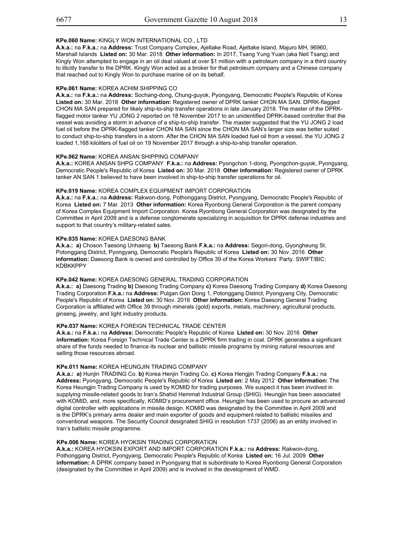#### **KPe.060 Name:** KINGLY WON INTERNATIONAL CO., LTD

**A.k.a.:** na **F.k.a.:** na **Address:** Trust Company Complex, Ajeltake Road, Ajeltake Island, Majuro MH, 96960, Marshall Islands **Listed on:** 30 Mar. 2018 **Other information:** In 2017, Tsang Yung Yuan (aka Neil Tsang) and Kingly Won attempted to engage in an oil deal valued at over \$1 million with a petroleum company in a third country to illicitly transfer to the DPRK. Kingly Won acted as a broker for that petroleum company and a Chinese company that reached out to Kingly Won to purchase marine oil on its behalf.

#### **KPe.061 Name:** KOREA ACHIM SHIPPING CO

**A.k.a.:** na **F.k.a.:** na **Address:** Sochang-dong, Chung-guyok, Pyongyang, Democratic People's Republic of Korea **Listed on:** 30 Mar. 2018 **Other information:** Registered owner of DPRK tanker CHON MA SAN. DPRK-flagged CHON MA SAN prepared for likely ship-to-ship transfer operations in late January 2018. The master of the DPRKflagged motor tanker YU JONG 2 reported on 18 November 2017 to an unidentified DPRK-based controller that the vessel was avoiding a storm in advance of a ship-to-ship transfer. The master suggested that the YU JONG 2 load fuel oil before the DPRK-flagged tanker CHON MA SAN since the CHON MA SAN's larger size was better suited to conduct ship-to-ship transfers in a storm. After the CHON MA SAN loaded fuel oil from a vessel, the YU JONG 2 loaded 1,168 kiloliters of fuel oil on 19 November 2017 through a ship-to-ship transfer operation.

#### **KPe.062 Name:** KOREA ANSAN SHIPPING COMPANY

**A.k.a.:** KOREA ANSAN SHPG COMPANY **F.k.a.:** na **Address:** Pyongchon 1-dong, Pyongchon-guyok, Pyongyang, Democratic People's Republic of Korea **Listed on:** 30 Mar. 2018 **Other information:** Registered owner of DPRK tanker AN SAN 1 believed to have been involved in ship-to-ship transfer operations for oil.

#### **KPe.019 Name:** KOREA COMPLEX EQUIPMENT IMPORT CORPORATION

**A.k.a.:** na **F.k.a.:** na **Address:** Rakwon-dong, Pothonggang District, Pyongyang, Democratic People's Republic of Korea **Listed on:** 7 Mar. 2013 **Other information:** Korea Ryonbong General Corporation is the parent company of Korea Complex Equipment Import Corporation. Korea Ryonbong General Corporation was designated by the Committee in April 2009 and is a defense conglomerate specializing in acquisition for DPRK defense industries and support to that country's military-related sales.

#### **KPe.035 Name:** KOREA DAESONG BANK

**A.k.a.: a)** Choson Taesong Unhaeng **b)** Taesong Bank **F.k.a.:** na **Address:** Segori-dong, Gyongheung St. Potonggang District, Pyongyang, Democratic People's Republic of Korea **Listed on:** 30 Nov. 2016 **Other information:** Daesong Bank is owned and controlled by Office 39 of the Korea Workers' Party. SWIFT/BIC: KDBKKPPY

#### **KPe.042 Name:** KOREA DAESONG GENERAL TRADING CORPORATION

**A.k.a.: a)** Daesong Trading **b)** Daesong Trading Company **c)** Korea Daesong Trading Company **d)** Korea Daesong Trading Corporation **F.k.a.:** na **Address:** Pulgan Gori Dong 1, Potonggang District, Pyongyang City, Democratic People's Republic of Korea **Listed on:** 30 Nov. 2016 **Other information:** Korea Daesong General Trading Corporation is affiliated with Office 39 through minerals (gold) exports, metals, machinery, agricultural products, ginseng, jewelry, and light industry products.

#### **KPe.037 Name:** KOREA FOREIGN TECHNICAL TRADE CENTER

**A.k.a.:** na **F.k.a.:** na **Address:** Democratic People's Republic of Korea **Listed on:** 30 Nov. 2016 **Other information:** Korea Foreign Technical Trade Center is a DPRK firm trading in coal. DPRK generates a significant share of the funds needed to finance its nuclear and ballistic missile programs by mining natural resources and selling those resources abroad.

#### **KPe.011 Name:** KOREA HEUNGJIN TRADING COMPANY

**A.k.a.: a)** Hunjin TRADING Co. **b)** Korea Henjin Trading Co. **c)** Korea Hengjin Trading Company **F.k.a.:** na **Address:** Pyongyang, Democratic People's Republic of Korea **Listed on:** 2 May 2012 **Other information:** The Korea Heungjin Trading Company is used by KOMID for trading purposes. We suspect it has been involved in supplying missile-related goods to Iran's Shahid Hemmat Industrial Group (SHIG). Heungjin has been associated with KOMID, and, more specifically, KOMID's procurement office. Heungjin has been used to procure an advanced digital controller with applications in missile design. KOMID was designated by the Committee in April 2009 and is the DPRK's primary arms dealer and main exporter of goods and equipment related to ballistic missiles and conventional weapons. The Security Council designated SHIG in resolution 1737 (2006) as an entity involved in Iran's ballistic missile programme.

#### **KPe.006 Name:** KOREA HYOKSIN TRADING CORPORATION

**A.k.a.:** KOREA HYOKSIN EXPORT AND IMPORT CORPORATION **F.k.a.:** na **Address:** Rakwon-dong, Pothonggang District, Pyongyang, Democratic People's Republic of Korea **Listed on:** 16 Jul. 2009 **Other information:** A DPRK company based in Pyongyang that is subordinate to Korea Ryonbong General Corporation (designated by the Committee in April 2009) and is involved in the development of WMD.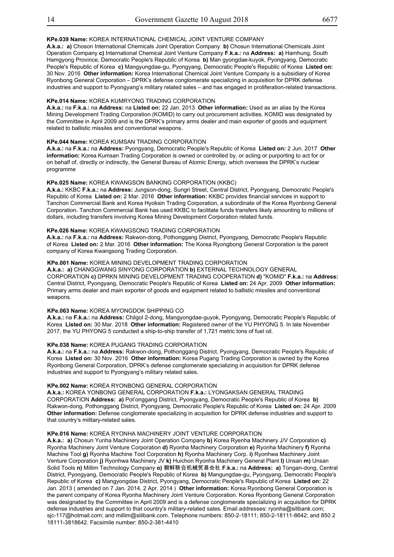## **KPe.039 Name:** KOREA INTERNATIONAL CHEMICAL JOINT VENTURE COMPANY

(designated by the Committee in April 2009) and is involved in April 2009) and is involved in the development of WMD.

**A.k.a.: a)** Choson International Chemicals Joint Operation Company **b)** Chosun International Chemicals Joint Operation Company **c)** International Chemical Joint Venture Company **F.k.a.:** na **Address: a)** Hamhung, South Hamgyong Province, Democratic People's Republic of Korea **b)** Man gyongdae-kuyok, Pyongyang, Democratic People's Republic of Korea **c)** Mangyungdae-gu, Pyongyang, Democratic People's Republic of Korea **Listed on:** 30 Nov. 2016 **Other information:** Korea International Chemical Joint Venture Company is a subsidiary of Korea Ryonbong General Corporation – DPRK's defense conglomerate specializing in acquisition for DPRK defense industries and support to Pyongyang's military related sales – and has engaged in proliferation-related transactions.

## **KPe.014 Name:** KOREA KUMRYONG TRADING CORPORATION

**A.k.a.:** na **F.k.a.:** na **Address:** na **Listed on:** 22 Jan. 2013 **Other information:** Used as an alias by the Korea Mining Development Trading Corporation (KOMID) to carry out procurement activities. KOMID was designated by the Committee in April 2009 and is the DPRK's primary arms dealer and main exporter of goods and equipment related to ballistic missiles and conventional weapons.

## **KPe.044 Name:** KOREA KUMSAN TRADING CORPORATION

**A.k.a.:** na **F.k.a.:** na **Address:** Pyongyang, Democratic People's Republic of Korea **Listed on:** 2 Jun. 2017 **Other information:** Korea Kumsan Trading Corporation is owned or controlled by, or acting or purporting to act for or on behalf of, directly or indirectly, the General Bureau of Atomic Energy, which oversees the DPRK's nuclear programme

#### **KPe.025 Name:** KOREA KWANGSON BANKING CORPORATION (KKBC)

**A.k.a.:** KKBC **F.k.a.:** na **Address:** Jungson-dong, Sungri Street, Central District, Pyongyang, Democratic People's Republic of Korea **Listed on:** 2 Mar. 2016 **Other information:** KKBC provides financial services in support to Tanchon Commercial Bank and Korea Hyoksin Trading Corporation, a subordinate of the Korea Ryonbong General Corporation. Tanchon Commercial Bank has used KKBC to facilitate funds transfers likely amounting to millions of dollars, including transfers involving Korea Mining Development Corporation related funds.

## **KPe.026 Name:** KOREA KWANGSONG TRADING CORPORATION

**A.k.a.:** na **F.k.a.:** na **Address:** Rakwon-dong, Pothonggang District, Pyongyang, Democratic People's Republic of Korea **Listed on:** 2 Mar. 2016 **Other information:** The Korea Ryongbong General Corporation is the parent company of Korea Kwangsong Trading Corporation.

#### **KPe.001 Name:** KOREA MINING DEVELOPMENT TRADING CORPORATION

Central District, Pyongyang, Democratic People's Republic of Korea Listed on: 24 Apr. 2009 Other information: **A.k.a.: a)** CHANGGWANG SINYONG CORPORATION **b)** EXTERNAL TECHNOLOGY GENERAL CORPORATION **c)** DPRKN MINING DEVELOPMENT TRADING COOPERATION **d)** "KOMID" **F.k.a.:** na **Address:** Primary arms dealer and main exporter of goods and equipment related to ballistic missiles and conventional weapons.

## **KPe.063 Name:** KOREA MYONGDOK SHIPPING CO

**A.k.a.:** na **F.k.a.:** na **Address:** Chilgol 2-dong, Mangyongdae-guyok, Pyongyang, Democratic People's Republic of Korea **Listed on:** 30 Mar. 2018 **Other information:** Registered owner of the YU PHYONG 5. In late November 2017, the YU PHYONG 5 conducted a ship-to-ship transfer of 1,721 metric tons of fuel oil.

#### **KPe.038 Name:** KOREA PUGANG TRADING CORPORATION

**A.k.a.:** na **F.k.a.:** na **Address:** Rakwon-dong, Pothonggang District, Pyongyang, Democratic People's Republic of Korea **Listed on:** 30 Nov. 2016 **Other information:** Korea Pugang Trading Corporation is owned by the Korea Ryonbong General Corporation, DPRK's defense conglomerate specializing in acquisition for DPRK defense industries and support to Pyongyang's military related sales.

#### **KPe.002 Name:** KOREA RYONBONG GENERAL CORPORATION

**A.k.a.:** KOREA YONBONG GENERAL CORPORATION **F.k.a.:** LYONGAKSAN GENERAL TRADING CORPORATION **Address: a)** Pot'onggang District, Pyongyang, Democratic People's Republic of Korea **b)** Rakwon-dong, Pothonggang District, Pyongyang, Democratic People's Republic of Korea **Listed on:** 24 Apr. 2009 **Other information:** Defense conglomerate specializing in acquisition for DPRK defense industries and support to that country's military-related sales.

#### **KPe.016 Name:** KOREA RYONHA MACHINERY JOINT VENTURE CORPORATION

**A.k.a.: a)** Chosun Yunha Machinery Joint Operation Company **b)** Korea Ryenha Machinery J/V Corporation **c)** Ryonha Machinery Joint Venture Corporation **d)** Ryonha Machinery Corporation **e)** Ryonha Machinery **f)** Ryonha Machine Tool **g)** Ryonha Machine Tool Corporation **h)** Ryonha Machinery Corp. **i)** Ryonhwa Machinery Joint Venture Corporation **j)** Ryonhwa Machinery JV **k)** Huichon Ryonha Machinery General Plant **l)** Unsan **m)** Unsan Solid Tools **n)** Millim Technology Company **o)** 朝鲜联合机械贸易会社 **F.k.a.:** na **Address: a)** Tongan-dong, Central District, Pyongyang, Democratic People's Republic of Korea **b)** Mangungdae-gu, Pyongyang, Democratic People's Republic of Korea **c)** Mangyongdae District, Pyongyang, Democratic People's Republic of Korea **Listed on:** 22 Jan. 2013 ( amended on 7 Jan. 2014, 2 Apr. 2014 ) **Other information:** Korea Ryonbong General Corporation is the parent company of Korea Ryonha Machinery Joint Venture Corporation. Korea Ryonbong General Corporation was designated by the Committee in April 2009 and is a defense conglomerate specializing in acquisition for DPRK defense industries and support to that country's military-related sales. Email addresses: ryonha@silibank.com; sjc-117@hotmail.com; and millim@silibank.com. Telephone numbers: 850-2-18111; 850-2-18111-8642; and 850 2 18111-3818642. Facsimile number: 850-2-381-4410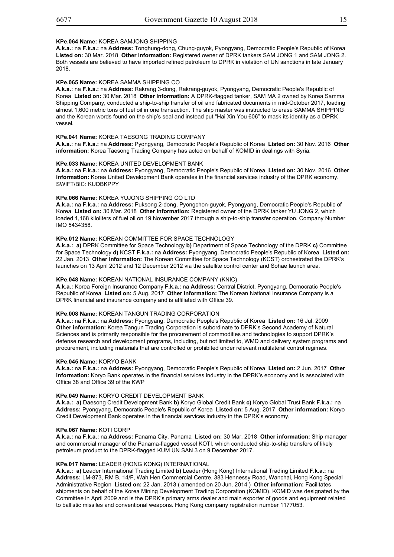#### **KPe.064 Name:** KOREA SAMJONG SHIPPING

**A.k.a.:** na **F.k.a.:** na **Address:** Tonghung-dong, Chung-guyok, Pyongyang, Democratic People's Republic of Korea **Listed on:** 30 Mar. 2018 **Other information:** Registered owner of DPRK tankers SAM JONG 1 and SAM JONG 2. Both vessels are believed to have imported refined petroleum to DPRK in violation of UN sanctions in late January 2018.

#### **KPe.065 Name:** KOREA SAMMA SHIPPING CO

**A.k.a.:** na **F.k.a.:** na **Address:** Rakrang 3-dong, Rakrang-guyok, Pyongyang, Democratic People's Republic of Korea **Listed on:** 30 Mar. 2018 **Other information:** A DPRK-flagged tanker, SAM MA 2 owned by Korea Samma Shipping Company, conducted a ship-to-ship transfer of oil and fabricated documents in mid-October 2017, loading almost 1,600 metric tons of fuel oil in one transaction. The ship master was instructed to erase SAMMA SHIPPING and the Korean words found on the ship's seal and instead put "Hai Xin You 606" to mask its identity as a DPRK vessel.

#### **KPe.041 Name:** KOREA TAESONG TRADING COMPANY

**A.k.a.:** na **F.k.a.:** na **Address:** Pyongyang, Democratic People's Republic of Korea **Listed on:** 30 Nov. 2016 **Other** information: Korea Taesong Trading Company has acted on behalf of KOMID in dealings with Syria.

## **KPe.033 Name:** KOREA UNITED DEVELOPMENT BANK

Page 16 of 21 **A.k.a.:** na **F.k.a.:** na **Address:** Pyongyang, Democratic People's Republic of Korea **Listed on:** 30 Nov. 2016 **Other information:** Korea United Development Bank operates in the financial services industry of the DPRK economy. SWIFT/BIC: KUDBKPPY

#### **KPe.066 Name:** KOREA YUJONG SHIPPING CO LTD

**A.k.a.:** na **F.k.a.:** na **Address:** Puksong 2-dong, Pyongchon-guyok, Pyongyang, Democratic People's Republic of Korea **Listed on:** 30 Mar. 2018 **Other information:** Registered owner of the DPRK tanker YU JONG 2, which loaded 1,168 kiloliters of fuel oil on 19 November 2017 through a ship-to-ship transfer operation. Company Number IMO 5434358.

#### **KPe.012 Name:** KOREAN COMMITTEE FOR SPACE TECHNOLOGY

**A.k.a.: a)** DPRK Committee for Space Technology **b)** Department of Space Technology of the DPRK **c)** Committee for Space Technology **d)** KCST **F.k.a.:** na **Address:** Pyongyang, Democratic People's Republic of Korea **Listed on:** 22 Jan. 2013 **Other information:** The Korean Committee for Space Technology (KCST) orchestrated the DPRK's launches on 13 April 2012 and 12 December 2012 via the satellite control center and Sohae launch area.

#### **KPe.048 Name:** KOREAN NATIONAL INSURANCE COMPANY (KNIC)

**A.k.a.:** Korea Foreign Insurance Company **F.k.a.:** na **Address:** Central District, Pyongyang, Democratic People's Republic of Korea **Listed on:** 5 Aug. 2017 **Other information:** The Korean National Insurance Company is a DPRK financial and insurance company and is affiliated with Office 39.

#### **KPe.008 Name:** KOREAN TANGUN TRADING CORPORATION

**A.k.a.:** na **F.k.a.:** na **Address:** Pyongyang, Democratic People's Republic of Korea **Listed on:** 16 Jul. 2009 **Other information:** Korea Tangun Trading Corporation is subordinate to DPRK's Second Academy of Natural Sciences and is primarily responsible for the procurement of commodities and technologies to support DPRK's defense research and development programs, including, but not limited to, WMD and delivery system programs and procurement, including materials that are controlled or prohibited under relevant multilateral control regimes.

#### **KPe.045 Name:** KORYO BANK

**A.k.a.:** na **F.k.a.:** na **Address:** Pyongyang, Democratic People's Republic of Korea **Listed on:** 2 Jun. 2017 **Other information:** Koryo Bank operates in the financial services industry in the DPRK's economy and is associated with Office 38 and Office 39 of the KWP

## **KPe.049 Name:** KORYO CREDIT DEVELOPMENT BANK

**A.k.a.: a)** Daesong Credit Development Bank **b)** Koryo Global Credit Bank **c)** Koryo Global Trust Bank **F.k.a.:** na **Address:** Pyongyang, Democratic People's Republic of Korea **Listed on:** 5 Aug. 2017 **Other information:** Koryo Credit Development Bank operates in the financial services industry in the DPRK's economy.

#### **KPe.067 Name:** KOTI CORP

**A.k.a.:** na **F.k.a.:** na **Address:** Panama City, Panama **Listed on:** 30 Mar. 2018 **Other information:** Ship manager and commercial manager of the Panama-flagged vessel KOTI, which conducted ship-to-ship transfers of likely petroleum product to the DPRK-flagged KUM UN SAN 3 on 9 December 2017.

#### **KPe.017 Name:** LEADER (HONG KONG) INTERNATIONAL

**A.k.a.: a)** Leader International Trading Limited **b)** Leader (Hong Kong) International Trading Limited **F.k.a.:** na **Address:** LM-873, RM B, 14/F, Wah Hen Commercial Centre, 383 Hennessy Road, Wanchai, Hong Kong Special Administrative Region **Listed on:** 22 Jan. 2013 ( amended on 20 Jun. 2014 ) **Other information:** Facilitates shipments on behalf of the Korea Mining Development Trading Corporation (KOMID). KOMID was designated by the Committee in April 2009 and is the DPRK's primary arms dealer and main exporter of goods and equipment related to ballistic missiles and conventional weapons. Hong Kong company registration number 1177053.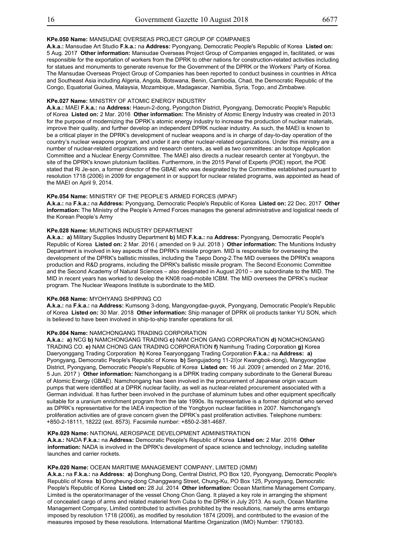Res. 1718 (2006) List

#### **KPe.050 Name:** MANSUDAE OVERSEAS PROJECT GROUP OF COMPANIES

**A.k.a.:** Mansudae Art Studio **F.k.a.:** na **Address:** Pyongyang, Democratic People's Republic of Korea **Listed on:** 5 Aug. 2017 **Other information:** Mansudae Overseas Project Group of Companies engaged in, facilitated, or was responsible for the exportation of workers from the DPRK to other nations for construction-related activities including for statues and monuments to generate revenue for the Government of the DPRK or the Workers' Party of Korea. The Mansudae Overseas Project Group of Companies has been reported to conduct business in countries in Africa and Southeast Asia including Algeria, Angola, Botswana, Benin, Cambodia, Chad, the Democratic Republic of the Congo, Equatorial Guinea, Malaysia, Mozambique, Madagascar, Namibia, Syria, Togo, and Zimbabwe.

#### **KPe.027 Name:** MINISTRY OF ATOMIC ENERGY INDUSTRY

**A.k.a.:** MAEI **F.k.a.:** na **Address:** Haeun-2-dong, Pyongchon District, Pyongyang, Democratic People's Republic of Korea **Listed on:** 2 Mar. 2016 **Other information:** The Ministry of Atomic Energy Industry was created in 2013 for the purpose of modernizing the DPRK's atomic energy industry to increase the production of nuclear materials, improve their quality, and further develop an independent DPRK nuclear industry. As such, the MAEI is known to be a critical player in the DPRK's development of nuclear weapons and is in charge of day-to-day operation of the country's nuclear weapons program, and under it are other nuclear-related organizations. Under this ministry are a number of nuclear-related organizations and research centers, as well as two committees: an Isotope Application Committee and a Nuclear Energy Committee. The MAEI also directs a nuclear research center at Yongbyun, the site of the DPRK's known plutonium facilities. Furthermore, in the 2015 Panel of Experts (POE) report, the POE stated that Ri Je-son, a former director of the GBAE who was designated by the Committee established pursuant to resolution 1718 (2006) in 2009 for engagement in or support for nuclear related programs, was appointed as head of the MAEI on April 9, 2014.

#### **KPe.054 Name:** MINISTRY OF THE PEOPLE'S ARMED FORCES (MPAF)

**A.k.a.:** na **F.k.a.:** na **Address:** Pyongyang, Democratic People's Republic of Korea **Listed on:** 22 Dec. 2017 **Other information:** The Ministry of the People's Armed Forces manages the general administrative and logistical needs of the Korean People's Army

## **KPe.028 Name:** MUNITIONS INDUSTRY DEPARTMENT

**A.k.a.: a)** Military Supplies Industry Department **b)** MID **F.k.a.:** na **Address:** Pyongyang, Democratic People's Republic of Korea **Listed on:** 2 Mar. 2016 ( amended on 9 Jul. 2018 ) **Other information:** The Munitions Industry Department is involved in key aspects of the DPRK's missile program. MID is responsible for overseeing the development of the DPRK's ballistic missiles, including the Taepo Dong-2.The MID oversees the DPRK's weapons production and R&D programs, including the DPRK's ballistic missile program. The Second Economic Committee and the Second Academy of Natural Sciences – also designated in August 2010 – are subordinate to the MID. The MID in recent years has worked to develop the KN08 road-mobile ICBM. The MID oversees the DPRK's nuclear program. The Nuclear Weapons Institute is subordinate to the MID.

#### **KPe.068 Name:** MYOHYANG SHIPPING CO

**A.k.a.:** na **F.k.a.:** na **Address:** Kumsong 3-dong, Mangyongdae-guyok, Pyongyang, Democratic People's Republic of Korea **Listed on:** 30 Mar. 2018 **Other information:** Ship manager of DPRK oil products tanker YU SON, which is believed to have been involved in ship-to-ship transfer operations for oil.

#### **KPe.004 Name:** NAMCHONGANG TRADING CORPORATION

**A.k.a.: a)** NCG **b)** NAMCHONGANG TRADING **c)** NAM CHON GANG CORPORATION **d)** NOMCHONGANG TRADING CO. **e)** NAM CHONG GAN TRADING CORPORATION **f)** Namhung Trading Corporation **g)** Korea Daeryonggang Trading Corporation **h)** Korea Tearyonggang Trading Corporation **F.k.a.:** na **Address: a)** Pyongyang, Democratic People's Republic of Korea **b)** Sengujadong 11-2/(or Kwangbok-dong), Mangyongdae District, Pyongyang, Democratic People's Republic of Korea **Listed on:** 16 Jul. 2009 ( amended on 2 Mar. 2016, 5 Jun. 2017 ) **Other information:** Namchongang is a DPRK trading company subordinate to the General Bureau of Atomic Energy (GBAE). Namchongang has been involved in the procurement of Japanese origin vacuum pumps that were identified at a DPRK nuclear facility, as well as nuclear-related procurement associated with a German individual. It has further been involved in the purchase of aluminum tubes and other equipment specifically suitable for a uranium enrichment program from the late 1990s. Its representative is a former diplomat who served as DPRK's representative for the IAEA inspection of the Yongbyon nuclear facilities in 2007. Namchongang's proliferation activities are of grave concern given the DPRK's past proliferation activities. Telephone numbers: +850-2-18111, 18222 (ext. 8573). Facsimile number: +850-2-381-4687.

#### **KPe.029 Name:** NATIONAL AEROSPACE DEVELOPMENT ADMINISTRATION

Page 18 of 21 **A.k.a.:** NADA **F.k.a.:** na **Address:** Democratic People's Republic of Korea **Listed on:** 2 Mar. 2016 **Other information:** NADA is involved in the DPRK's development of space science and technology, including satellite launches and carrier rockets.

#### **KPe.020 Name:** OCEAN MARITIME MANAGEMENT COMPANY, LIMITED (OMM)

**A.k.a.:** na **F.k.a.:** na **Address: a)** Donghung Dong, Central District, PO Box 120, Pyongyang, Democratic People's Republic of Korea **b)** Dongheung-dong Changgwang Street, Chung-Ku, PO Box 125, Pyongyang, Democratic People's Republic of Korea **Listed on:** 28 Jul. 2014 **Other information:** Ocean Maritime Management Company, Limited is the operator/manager of the vessel Chong Chon Gang. It played a key role in arranging the shipment of concealed cargo of arms and related materiel from Cuba to the DPRK in July 2013. As such, Ocean Maritime Management Company, Limited contributed to activities prohibited by the resolutions, namely the arms embargo imposed by resolution 1718 (2006), as modified by resolution 1874 (2009), and contributed to the evasion of the measures imposed by these resolutions. International Maritime Organization (IMO) Number: 1790183.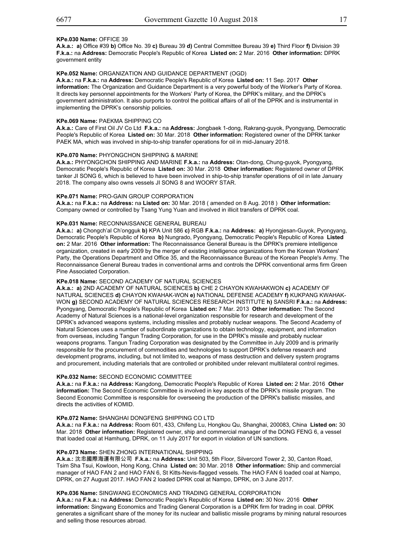## **KPe.030 Name:** OFFICE 39

**A.k.a.: a)** Office #39 **b)** Office No. 39 **c)** Bureau 39 **d)** Central Committee Bureau 39 **e)** Third Floor **f)** Division 39 **F.k.a.:** na **Address:** Democratic People's Republic of Korea **Listed on:** 2 Mar. 2016 **Other information:** DPRK government entity

#### **KPe.052 Name:** ORGANIZATION AND GUIDANCE DEPARTMENT (OGD)

**A.k.a.:** na **F.k.a.:** na **Address:** Democratic People's Republic of Korea **Listed on:** 11 Sep. 2017 **Other information:** The Organization and Guidance Department is a very powerful body of the Worker's Party of Korea. It directs key personnel appointments for the Workers' Party of Korea, the DPRK's military, and the DPRK's government administration. It also purports to control the political affairs of all of the DPRK and is instrumental in implementing the DPRK's censorship policies.

#### **KPe.069 Name:** PAEKMA SHIPPING CO

**A.k.a.:** Care of First Oil JV Co Ltd **F.k.a.:** na **Address:** Jongbaek 1-dong, Rakrang-guyok, Pyongyang, Democratic People's Republic of Korea **Listed on:** 30 Mar. 2018 **Other information:** Registered owner of the DPRK tanker PAEK MA, which was involved in ship-to-ship transfer operations for oil in mid-January 2018.

## **KPe.070 Name:** PHYONGCHON SHIPPING & MARINE

**A.k.a.:** PHYONGCHON SHIPPING AND MARINE **F.k.a.:** na **Address:** Otan-dong, Chung-guyok, Pyongyang, Democratic People's Republic of Korea **Listed on:** 30 Mar. 2018 **Other information:** Registered owner of DPRK tanker JI SONG 6, which is believed to have been involved in ship-to-ship transfer operations of oil in late January 2018. The company also owns vessels JI SONG 8 and WOORY STAR.

#### **KPe.071 Name:** PRO-GAIN GROUP CORPORATION

**A.k.a.:** na **F.k.a.:** na **Address:** na **Listed on:** 30 Mar. 2018 ( amended on 8 Aug. 2018 ) **Other information:** Company owned or controlled by Tsang Yung Yuan and involved in illicit transfers of DPRK coal.

#### **KPe.031 Name:** RECONNAISSANCE GENERAL BUREAU

**A.k.a.: a)** Chongch'al Ch'ongguk **b)** KPA Unit 586 **c)** RGB **F.k.a.:** na **Address: a)** Hyongjesan-Guyok, Pyongyang, Democratic People's Republic of Korea **b)** Nungrado, Pyongyang, Democratic People's Republic of Korea **Listed on:** 2 Mar. 2016 **Other information:** The Reconnaissance General Bureau is the DPRK's premiere intelligence organization, created in early 2009 by the merger of existing intelligence organizations from the Korean Workers' Party, the Operations Department and Office 35, and the Reconnaissance Bureau of the Korean People's Army. The Reconnaissance General Bureau trades in conventional arms and controls the DPRK conventional arms firm Green Recommandance General Dur<br>Pine Associated Corporation.

#### **KPe.018 Name:** SECOND ACADEMY OF NATURAL SCIENCES

from overseas, including Tangun Trading Corporation, for use in the DPRK's missile and probably nuclear **A.k.a.: a)** 2ND ACADEMY OF NATURAL SCIENCES **b)** CHE 2 CHAYON KWAHAKWON **c)** ACADEMY OF NATURAL SCIENCES **d)** CHAYON KWAHAK-WON **e)** NATIONAL DEFENSE ACADEMY **f)** KUKPANG KWAHAK-WON **g)** SECOND ACADEMY OF NATURAL SCIENCES RESEARCH INSTITUTE **h)** SANSRI **F.k.a.:** na **Address:** Pyongyang, Democratic People's Republic of Korea **Listed on:** 7 Mar. 2013 **Other information:** The Second Academy of Natural Sciences is a national-level organization responsible for research and development of the DPRK's advanced weapons systems, including missiles and probably nuclear weapons. The Second Academy of Natural Sciences uses a number of subordinate organizations to obtain technology, equipment, and information weapons programs. Tangun Trading Corporation was designated by the Committee in July 2009 and is primarily responsible for the procurement of commodities and technologies to support DPRK's defense research and development programs, including, but not limited to, weapons of mass destruction and delivery system programs and procurement, including materials that are controlled or prohibited under relevant multilateral control regimes.

#### **KPe.032 Name:** SECOND ECONOMIC COMMITTEE

**A.k.a.:** na **F.k.a.:** na **Address:** Kangdong, Democratic People's Republic of Korea **Listed on:** 2 Mar. 2016 **Other information:** The Second Economic Committee is involved in key aspects of the DPRK's missile program. The Second Economic Committee is responsible for overseeing the production of the DPRK's ballistic missiles, and directs the activities of KOMID.

#### **KPe.072 Name:** SHANGHAI DONGFENG SHIPPING CO LTD

**A.k.a.:** na **F.k.a.:** na **Address:** Room 601, 433, Chifeng Lu, Hongkou Qu, Shanghai, 200083, China **Listed on:** 30 Mar. 2018 **Other information:** Registered owner, ship and commercial manager of the DONG FENG 6, a vessel that loaded coal at Hamhung, DPRK, on 11 July 2017 for export in violation of UN sanctions.

#### **KPe.073 Name:** SHEN ZHONG INTERNATIONAL SHIPPING

**A.k.a.:** 沈忠國際海運有限公司 **F.k.a.:** na **Address:** Unit 503, 5th Floor, Silvercord Tower 2, 30, Canton Road, Tsim Sha Tsui, Kowloon, Hong Kong, China **Listed on:** 30 Mar. 2018 **Other information:** Ship and commercial manager of HAO FAN 2 and HAO FAN 6, St Kitts-Nevis-flagged vessels. The HAO FAN 6 loaded coal at Nampo, DPRK, on 27 August 2017. HAO FAN 2 loaded DPRK coal at Nampo, DPRK, on 3 June 2017.

#### **KPe.036 Name:** SINGWANG ECONOMICS AND TRADING GENERAL CORPORATION

**A.k.a.:** na **F.k.a.:** na **Address:** Democratic People's Republic of Korea **Listed on:** 30 Nov. 2016 **Other information:** Singwang Economics and Trading General Corporation is a DPRK firm for trading in coal. DPRK generates a significant share of the money for its nuclear and ballistic missile programs by mining natural resources and selling those resources abroad.